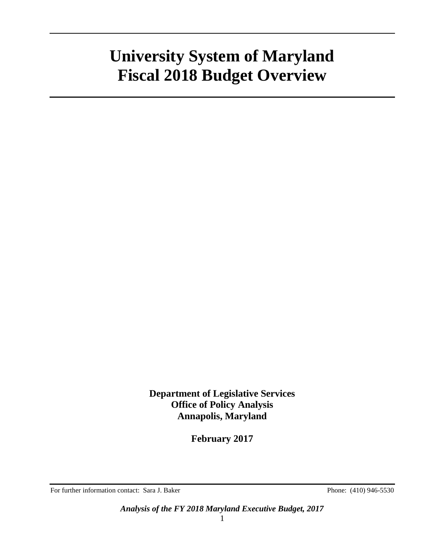**Department of Legislative Services Office of Policy Analysis Annapolis, Maryland**

**February 2017**

For further information contact: Sara J. Baker Phone: (410) 946-5530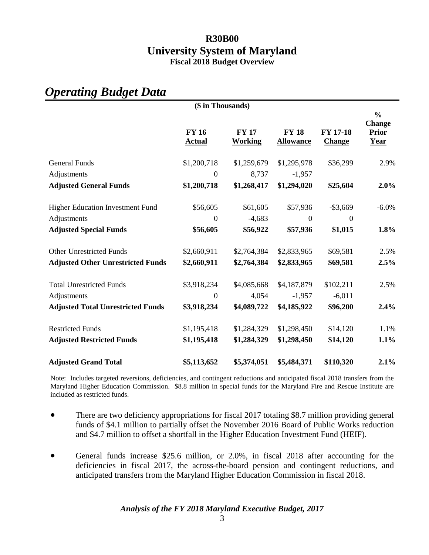| (\$ in Thousands)                        |                               |                                |                                  |                                  |                                                               |  |
|------------------------------------------|-------------------------------|--------------------------------|----------------------------------|----------------------------------|---------------------------------------------------------------|--|
|                                          | <b>FY 16</b><br><b>Actual</b> | <b>FY 17</b><br><b>Working</b> | <b>FY 18</b><br><b>Allowance</b> | <b>FY 17-18</b><br><b>Change</b> | $\frac{0}{0}$<br><b>Change</b><br><b>Prior</b><br><u>Year</u> |  |
| <b>General Funds</b>                     | \$1,200,718                   | \$1,259,679                    | \$1,295,978                      | \$36,299                         | 2.9%                                                          |  |
| Adjustments                              | $\theta$                      | 8,737                          | $-1,957$                         |                                  |                                                               |  |
| <b>Adjusted General Funds</b>            | \$1,200,718                   | \$1,268,417                    | \$1,294,020                      | \$25,604                         | 2.0%                                                          |  |
| <b>Higher Education Investment Fund</b>  | \$56,605                      | \$61,605                       | \$57,936                         | $-$ \$3,669                      | $-6.0\%$                                                      |  |
| Adjustments                              | $\Omega$                      | $-4,683$                       | $\overline{0}$                   | $\Omega$                         |                                                               |  |
| <b>Adjusted Special Funds</b>            | \$56,605                      | \$56,922                       | \$57,936                         | \$1,015                          | 1.8%                                                          |  |
| <b>Other Unrestricted Funds</b>          | \$2,660,911                   | \$2,764,384                    | \$2,833,965                      | \$69,581                         | 2.5%                                                          |  |
| <b>Adjusted Other Unrestricted Funds</b> | \$2,660,911                   | \$2,764,384                    | \$2,833,965                      | \$69,581                         | 2.5%                                                          |  |
| <b>Total Unrestricted Funds</b>          | \$3,918,234                   | \$4,085,668                    | \$4,187,879                      | \$102,211                        | 2.5%                                                          |  |
| Adjustments                              | $\overline{0}$                | 4,054                          | $-1,957$                         | $-6,011$                         |                                                               |  |
| <b>Adjusted Total Unrestricted Funds</b> | \$3,918,234                   | \$4,089,722                    | \$4,185,922                      | \$96,200                         | 2.4%                                                          |  |
| <b>Restricted Funds</b>                  | \$1,195,418                   | \$1,284,329                    | \$1,298,450                      | \$14,120                         | 1.1%                                                          |  |
| <b>Adjusted Restricted Funds</b>         | \$1,195,418                   | \$1,284,329                    | \$1,298,450                      | \$14,120                         | 1.1%                                                          |  |
| <b>Adjusted Grand Total</b>              | \$5,113,652                   | \$5,374,051                    | \$5,484,371                      | \$110,320                        | 2.1%                                                          |  |

### *Operating Budget Data*

Note: Includes targeted reversions, deficiencies, and contingent reductions and anticipated fiscal 2018 transfers from the Maryland Higher Education Commission. \$8.8 million in special funds for the Maryland Fire and Rescue Institute are included as restricted funds.

- There are two deficiency appropriations for fiscal 2017 totaling \$8.7 million providing general funds of \$4.1 million to partially offset the November 2016 Board of Public Works reduction and \$4.7 million to offset a shortfall in the Higher Education Investment Fund (HEIF).
- General funds increase \$25.6 million, or 2.0%, in fiscal 2018 after accounting for the deficiencies in fiscal 2017, the across-the-board pension and contingent reductions, and anticipated transfers from the Maryland Higher Education Commission in fiscal 2018.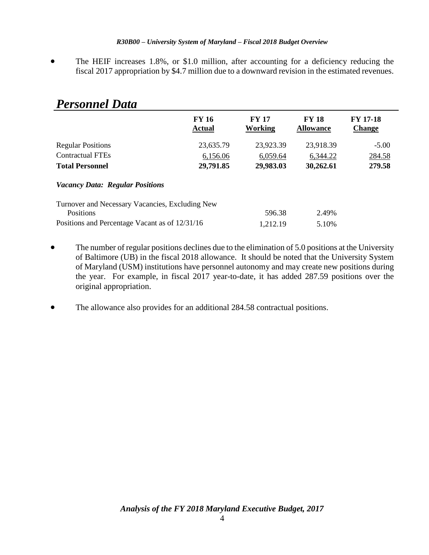The HEIF increases 1.8%, or \$1.0 million, after accounting for a deficiency reducing the fiscal 2017 appropriation by \$4.7 million due to a downward revision in the estimated revenues.

| I ersonnet Dutu                                 |                               |                         |                                  |                                  |
|-------------------------------------------------|-------------------------------|-------------------------|----------------------------------|----------------------------------|
|                                                 | <b>FY 16</b><br><b>Actual</b> | <b>FY 17</b><br>Working | <b>FY 18</b><br><b>Allowance</b> | <b>FY 17-18</b><br><b>Change</b> |
| <b>Regular Positions</b>                        | 23,635.79                     | 23,923.39               | 23,918.39                        | $-5.00$                          |
| <b>Contractual FTEs</b>                         | 6,156.06                      | 6,059.64                | 6,344.22                         | 284.58                           |
| <b>Total Personnel</b>                          | 29,791.85                     | 29,983.03               | 30,262.61                        | 279.58                           |
| <b>Vacancy Data: Regular Positions</b>          |                               |                         |                                  |                                  |
| Turnover and Necessary Vacancies, Excluding New |                               |                         |                                  |                                  |
| Positions                                       |                               | 596.38                  | 2.49%                            |                                  |
| Positions and Percentage Vacant as of 12/31/16  |                               | 1,212.19                | 5.10%                            |                                  |

### *Personnel Data*

- The number of regular positions declines due to the elimination of 5.0 positions at the University of Baltimore (UB) in the fiscal 2018 allowance. It should be noted that the University System of Maryland (USM) institutions have personnel autonomy and may create new positions during the year. For example, in fiscal 2017 year-to-date, it has added 287.59 positions over the original appropriation.
- The allowance also provides for an additional 284.58 contractual positions.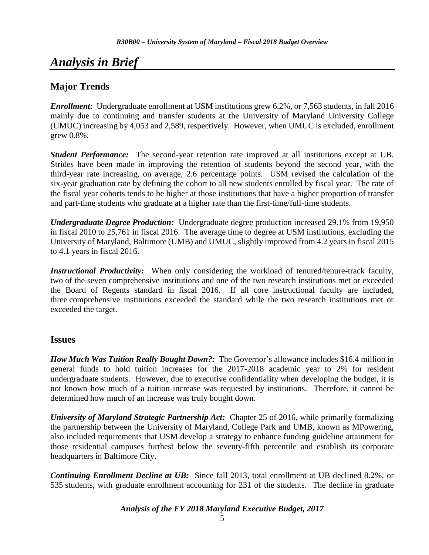# *Analysis in Brief*

### **Major Trends**

*Enrollment:* Undergraduate enrollment at USM institutions grew 6.2%, or 7,563 students, in fall 2016 mainly due to continuing and transfer students at the University of Maryland University College (UMUC) increasing by 4,053 and 2,589, respectively. However, when UMUC is excluded, enrollment grew 0.8%.

*Student Performance:* The second-year retention rate improved at all institutions except at UB. Strides have been made in improving the retention of students beyond the second year, with the third-year rate increasing, on average, 2.6 percentage points. USM revised the calculation of the six-year graduation rate by defining the cohort to all new students enrolled by fiscal year. The rate of the fiscal year cohorts tends to be higher at those institutions that have a higher proportion of transfer and part-time students who graduate at a higher rate than the first-time/full-time students.

*Undergraduate Degree Production:* Undergraduate degree production increased 29.1% from 19,950 in fiscal 2010 to 25,761 in fiscal 2016. The average time to degree at USM institutions, excluding the University of Maryland, Baltimore (UMB) and UMUC, slightly improved from 4.2 years in fiscal 2015 to 4.1 years in fiscal 2016.

*Instructional Productivity:* When only considering the workload of tenured/tenure-track faculty, two of the seven comprehensive institutions and one of the two research institutions met or exceeded the Board of Regents standard in fiscal 2016. If all core instructional faculty are included, three comprehensive institutions exceeded the standard while the two research institutions met or exceeded the target.

### **Issues**

*How Much Was Tuition Really Bought Down?:* The Governor's allowance includes \$16.4 million in general funds to hold tuition increases for the 2017-2018 academic year to 2% for resident undergraduate students. However, due to executive confidentiality when developing the budget, it is not known how much of a tuition increase was requested by institutions. Therefore, it cannot be determined how much of an increase was truly bought down.

*University of Maryland Strategic Partnership Act:* Chapter 25 of 2016, while primarily formalizing the partnership between the University of Maryland, College Park and UMB, known as MPowering, also included requirements that USM develop a strategy to enhance funding guideline attainment for those residential campuses furthest below the seventy-fifth percentile and establish its corporate headquarters in Baltimore City.

*Continuing Enrollment Decline at UB:* Since fall 2013, total enrollment at UB declined 8.2%, or 535 students, with graduate enrollment accounting for 231 of the students. The decline in graduate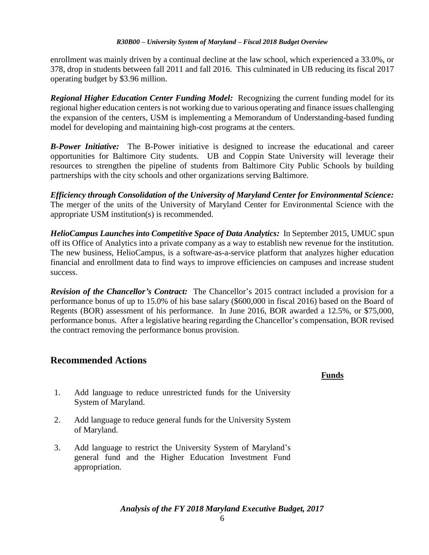enrollment was mainly driven by a continual decline at the law school, which experienced a 33.0%, or 378, drop in students between fall 2011 and fall 2016. This culminated in UB reducing its fiscal 2017 operating budget by \$3.96 million.

*Regional Higher Education Center Funding Model:* Recognizing the current funding model for its regional higher education centers is not working due to various operating and finance issues challenging the expansion of the centers, USM is implementing a Memorandum of Understanding-based funding model for developing and maintaining high-cost programs at the centers.

*B-Power Initiative:* The B-Power initiative is designed to increase the educational and career opportunities for Baltimore City students. UB and Coppin State University will leverage their resources to strengthen the pipeline of students from Baltimore City Public Schools by building partnerships with the city schools and other organizations serving Baltimore.

*Efficiency through Consolidation of the University of Maryland Center for Environmental Science:* The merger of the units of the University of Maryland Center for Environmental Science with the appropriate USM institution(s) is recommended.

*HelioCampus Launches into Competitive Space of Data Analytics:* In September 2015, UMUC spun off its Office of Analytics into a private company as a way to establish new revenue for the institution. The new business, HelioCampus, is a software-as-a-service platform that analyzes higher education financial and enrollment data to find ways to improve efficiencies on campuses and increase student success.

*Revision of the Chancellor's Contract:* The Chancellor's 2015 contract included a provision for a performance bonus of up to 15.0% of his base salary (\$600,000 in fiscal 2016) based on the Board of Regents (BOR) assessment of his performance. In June 2016, BOR awarded a 12.5%, or \$75,000, performance bonus. After a legislative hearing regarding the Chancellor's compensation, BOR revised the contract removing the performance bonus provision.

### **Recommended Actions**

### **Funds**

- 1. Add language to reduce unrestricted funds for the University System of Maryland.
- 2. Add language to reduce general funds for the University System of Maryland.
- 3. Add language to restrict the University System of Maryland's general fund and the Higher Education Investment Fund appropriation.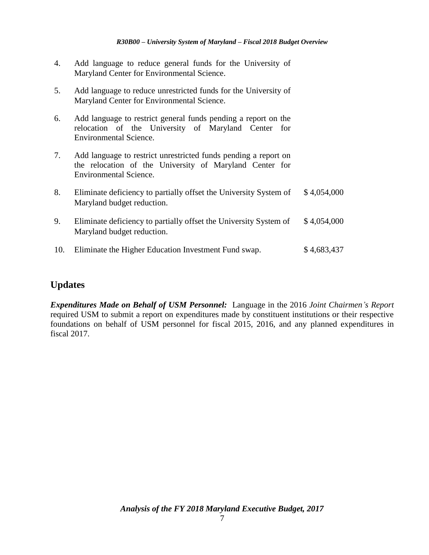- 4. Add language to reduce general funds for the University of Maryland Center for Environmental Science.
- 5. Add language to reduce unrestricted funds for the University of Maryland Center for Environmental Science.
- 6. Add language to restrict general funds pending a report on the relocation of the University of Maryland Center for Environmental Science.
- 7. Add language to restrict unrestricted funds pending a report on the relocation of the University of Maryland Center for Environmental Science.
- 8. Eliminate deficiency to partially offset the University System of Maryland budget reduction. \$ 4,054,000
- 9. Eliminate deficiency to partially offset the University System of Maryland budget reduction. \$ 4,054,000
- 10. Eliminate the Higher Education Investment Fund swap. \$4,683,437

### **Updates**

*Expenditures Made on Behalf of USM Personnel:* Language in the 2016 *Joint Chairmen's Report* required USM to submit a report on expenditures made by constituent institutions or their respective foundations on behalf of USM personnel for fiscal 2015, 2016, and any planned expenditures in fiscal 2017.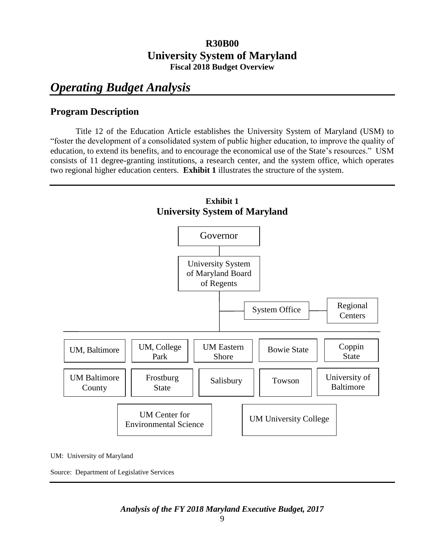# *Operating Budget Analysis*

### **Program Description**

Title 12 of the Education Article establishes the University System of Maryland (USM) to "foster the development of a consolidated system of public higher education, to improve the quality of education, to extend its benefits, and to encourage the economical use of the State's resources." USM consists of 11 degree-granting institutions, a research center, and the system office, which operates two regional higher education centers. **Exhibit 1** illustrates the structure of the system.



UM: University of Maryland

Source: Department of Legislative Services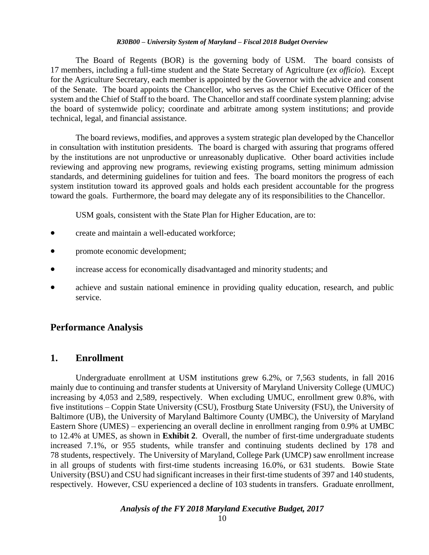The Board of Regents (BOR) is the governing body of USM. The board consists of 17 members, including a full-time student and the State Secretary of Agriculture (*ex officio*). Except for the Agriculture Secretary, each member is appointed by the Governor with the advice and consent of the Senate. The board appoints the Chancellor, who serves as the Chief Executive Officer of the system and the Chief of Staff to the board. The Chancellor and staff coordinate system planning; advise the board of systemwide policy; coordinate and arbitrate among system institutions; and provide technical, legal, and financial assistance.

The board reviews, modifies, and approves a system strategic plan developed by the Chancellor in consultation with institution presidents. The board is charged with assuring that programs offered by the institutions are not unproductive or unreasonably duplicative. Other board activities include reviewing and approving new programs, reviewing existing programs, setting minimum admission standards, and determining guidelines for tuition and fees. The board monitors the progress of each system institution toward its approved goals and holds each president accountable for the progress toward the goals. Furthermore, the board may delegate any of its responsibilities to the Chancellor.

USM goals, consistent with the State Plan for Higher Education, are to:

- create and maintain a well-educated workforce;
- promote economic development;
- increase access for economically disadvantaged and minority students; and
- achieve and sustain national eminence in providing quality education, research, and public service.

### **Performance Analysis**

### **1. Enrollment**

Undergraduate enrollment at USM institutions grew 6.2%, or 7,563 students, in fall 2016 mainly due to continuing and transfer students at University of Maryland University College (UMUC) increasing by 4,053 and 2,589, respectively. When excluding UMUC, enrollment grew 0.8%, with five institutions – Coppin State University (CSU), Frostburg State University (FSU), the University of Baltimore (UB), the University of Maryland Baltimore County (UMBC), the University of Maryland Eastern Shore (UMES) – experiencing an overall decline in enrollment ranging from 0.9% at UMBC to 12.4% at UMES, as shown in **Exhibit 2**. Overall, the number of first-time undergraduate students increased 7.1%, or 955 students, while transfer and continuing students declined by 178 and 78 students, respectively. The University of Maryland, College Park (UMCP) saw enrollment increase in all groups of students with first-time students increasing 16.0%, or 631 students. Bowie State University (BSU) and CSU had significant increases in their first-time students of 397 and 140 students, respectively. However, CSU experienced a decline of 103 students in transfers. Graduate enrollment,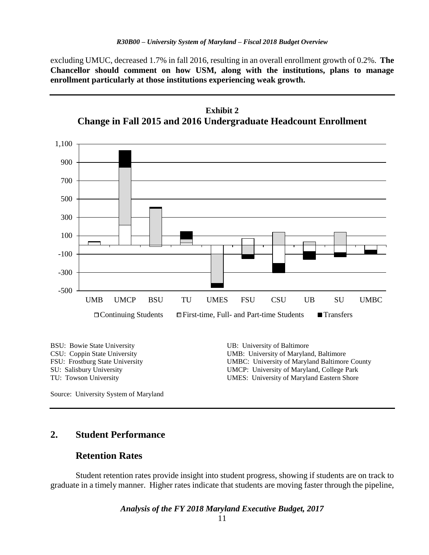excluding UMUC, decreased 1.7% in fall 2016, resulting in an overall enrollment growth of 0.2%. **The Chancellor should comment on how USM, along with the institutions, plans to manage enrollment particularly at those institutions experiencing weak growth.** 



Source: University System of Maryland

### **2. Student Performance**

### **Retention Rates**

Student retention rates provide insight into student progress, showing if students are on track to graduate in a timely manner. Higher rates indicate that students are moving faster through the pipeline,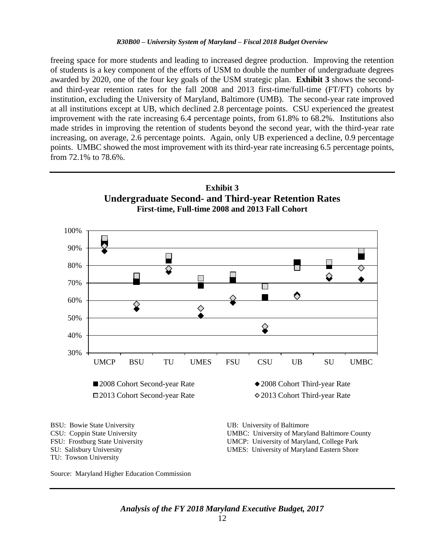freeing space for more students and leading to increased degree production. Improving the retention of students is a key component of the efforts of USM to double the number of undergraduate degrees awarded by 2020, one of the four key goals of the USM strategic plan. **Exhibit 3** shows the secondand third-year retention rates for the fall 2008 and 2013 first-time/full-time (FT/FT) cohorts by institution, excluding the University of Maryland, Baltimore (UMB). The second-year rate improved at all institutions except at UB, which declined 2.8 percentage points. CSU experienced the greatest improvement with the rate increasing 6.4 percentage points, from 61.8% to 68.2%. Institutions also made strides in improving the retention of students beyond the second year, with the third-year rate increasing, on average, 2.6 percentage points. Again, only UB experienced a decline, 0.9 percentage points. UMBC showed the most improvement with its third-year rate increasing 6.5 percentage points, from 72.1% to 78.6%.

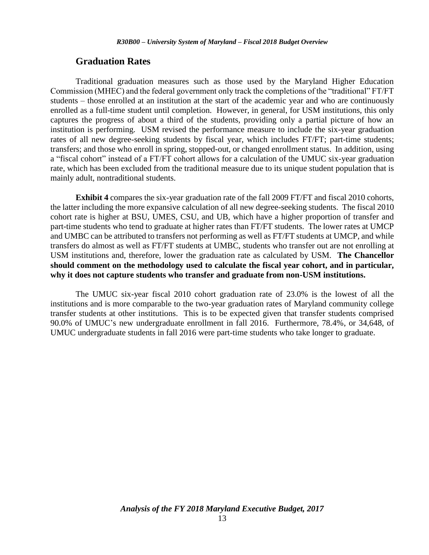#### **Graduation Rates**

Traditional graduation measures such as those used by the Maryland Higher Education Commission (MHEC) and the federal government only track the completions of the "traditional" FT/FT students – those enrolled at an institution at the start of the academic year and who are continuously enrolled as a full-time student until completion. However, in general, for USM institutions, this only captures the progress of about a third of the students, providing only a partial picture of how an institution is performing. USM revised the performance measure to include the six-year graduation rates of all new degree-seeking students by fiscal year, which includes FT/FT; part-time students; transfers; and those who enroll in spring, stopped-out, or changed enrollment status. In addition, using a "fiscal cohort" instead of a FT/FT cohort allows for a calculation of the UMUC six-year graduation rate, which has been excluded from the traditional measure due to its unique student population that is mainly adult, nontraditional students.

**Exhibit 4** compares the six-year graduation rate of the fall 2009 FT/FT and fiscal 2010 cohorts, the latter including the more expansive calculation of all new degree-seeking students. The fiscal 2010 cohort rate is higher at BSU, UMES, CSU, and UB, which have a higher proportion of transfer and part-time students who tend to graduate at higher rates than FT/FT students. The lower rates at UMCP and UMBC can be attributed to transfers not performing as well as FT/FT students at UMCP, and while transfers do almost as well as FT/FT students at UMBC, students who transfer out are not enrolling at USM institutions and, therefore, lower the graduation rate as calculated by USM. **The Chancellor should comment on the methodology used to calculate the fiscal year cohort, and in particular, why it does not capture students who transfer and graduate from non-USM institutions.** 

The UMUC six-year fiscal 2010 cohort graduation rate of 23.0% is the lowest of all the institutions and is more comparable to the two-year graduation rates of Maryland community college transfer students at other institutions. This is to be expected given that transfer students comprised 90.0% of UMUC's new undergraduate enrollment in fall 2016. Furthermore, 78.4%, or 34,648, of UMUC undergraduate students in fall 2016 were part-time students who take longer to graduate.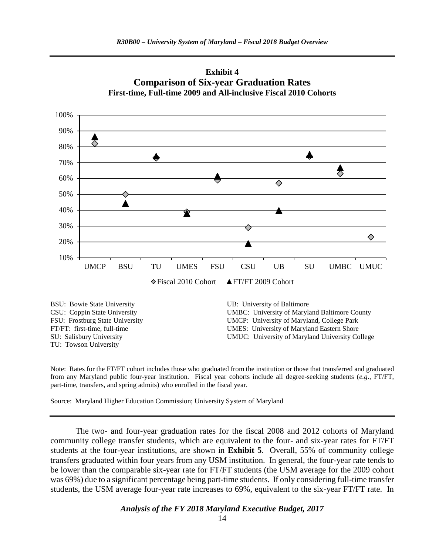



Note: Rates for the FT/FT cohort includes those who graduated from the institution or those that transferred and graduated from any Maryland public four-year institution. Fiscal year cohorts include all degree-seeking students (*e.g*., FT/FT, part-time, transfers, and spring admits) who enrolled in the fiscal year.

Source: Maryland Higher Education Commission; University System of Maryland

TU: Towson University

The two- and four-year graduation rates for the fiscal 2008 and 2012 cohorts of Maryland community college transfer students, which are equivalent to the four- and six-year rates for FT/FT students at the four-year institutions, are shown in **Exhibit 5**. Overall, 55% of community college transfers graduated within four years from any USM institution. In general, the four-year rate tends to be lower than the comparable six-year rate for FT/FT students (the USM average for the 2009 cohort was 69%) due to a significant percentage being part-time students. If only considering full-time transfer students, the USM average four-year rate increases to 69%, equivalent to the six-year FT/FT rate. In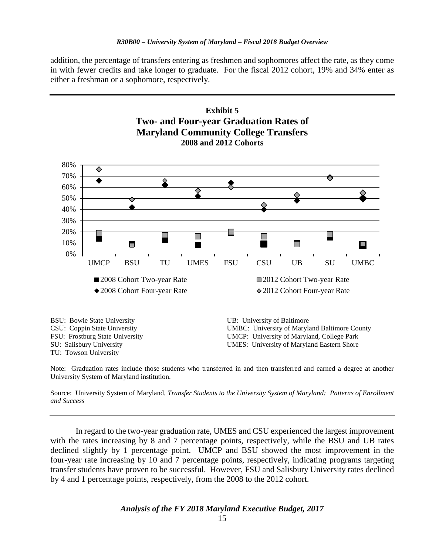addition, the percentage of transfers entering as freshmen and sophomores affect the rate, as they come in with fewer credits and take longer to graduate. For the fiscal 2012 cohort, 19% and 34% enter as either a freshman or a sophomore, respectively.



Note: Graduation rates include those students who transferred in and then transferred and earned a degree at another University System of Maryland institution.

Source: University System of Maryland, *Transfer Students to the University System of Maryland: Patterns of Enrollment and Success*

In regard to the two-year graduation rate, UMES and CSU experienced the largest improvement with the rates increasing by 8 and 7 percentage points, respectively, while the BSU and UB rates declined slightly by 1 percentage point. UMCP and BSU showed the most improvement in the four-year rate increasing by 10 and 7 percentage points, respectively, indicating programs targeting transfer students have proven to be successful. However, FSU and Salisbury University rates declined by 4 and 1 percentage points, respectively, from the 2008 to the 2012 cohort.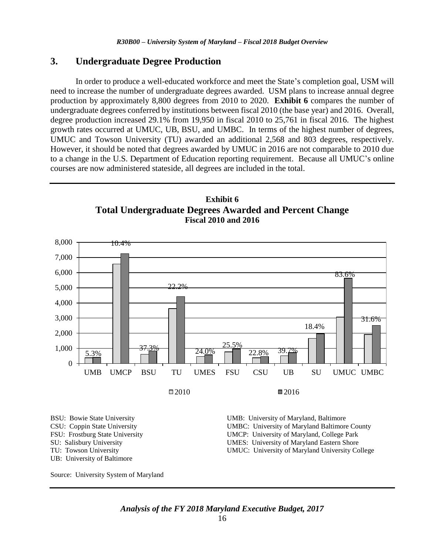#### **3. Undergraduate Degree Production**

In order to produce a well-educated workforce and meet the State's completion goal, USM will need to increase the number of undergraduate degrees awarded. USM plans to increase annual degree production by approximately 8,800 degrees from 2010 to 2020. **Exhibit 6** compares the number of undergraduate degrees conferred by institutions between fiscal 2010 (the base year) and 2016. Overall, degree production increased 29.1% from 19,950 in fiscal 2010 to 25,761 in fiscal 2016. The highest growth rates occurred at UMUC, UB, BSU, and UMBC. In terms of the highest number of degrees, UMUC and Towson University (TU) awarded an additional 2,568 and 803 degrees, respectively. However, it should be noted that degrees awarded by UMUC in 2016 are not comparable to 2010 due to a change in the U.S. Department of Education reporting requirement. Because all UMUC's online courses are now administered stateside, all degrees are included in the total.





*Analysis of the FY 2018 Maryland Executive Budget, 2017*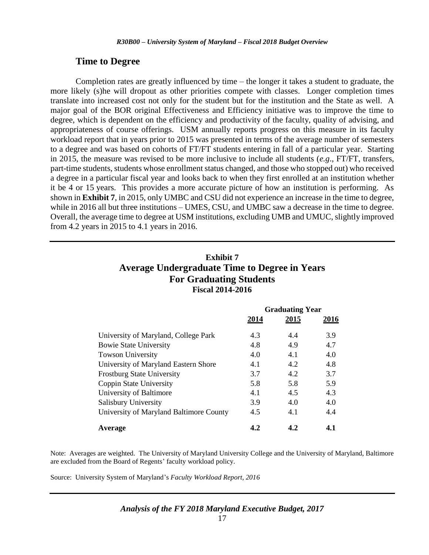#### **Time to Degree**

Completion rates are greatly influenced by time – the longer it takes a student to graduate, the more likely (s)he will dropout as other priorities compete with classes. Longer completion times translate into increased cost not only for the student but for the institution and the State as well. A major goal of the BOR original Effectiveness and Efficiency initiative was to improve the time to degree, which is dependent on the efficiency and productivity of the faculty, quality of advising, and appropriateness of course offerings. USM annually reports progress on this measure in its faculty workload report that in years prior to 2015 was presented in terms of the average number of semesters to a degree and was based on cohorts of FT/FT students entering in fall of a particular year. Starting in 2015, the measure was revised to be more inclusive to include all students (*e.g*., FT/FT, transfers, part-time students, students whose enrollment status changed, and those who stopped out) who received a degree in a particular fiscal year and looks back to when they first enrolled at an institution whether it be 4 or 15 years. This provides a more accurate picture of how an institution is performing. As shown in **Exhibit 7**, in 2015, only UMBC and CSU did not experience an increase in the time to degree, while in 2016 all but three institutions – UMES, CSU, and UMBC saw a decrease in the time to degree. Overall, the average time to degree at USM institutions, excluding UMB and UMUC, slightly improved from 4.2 years in 2015 to 4.1 years in 2016.

### **Exhibit 7 Average Undergraduate Time to Degree in Years For Graduating Students Fiscal 2014-2016**

|                                         | <b>Graduating Year</b> |      |      |  |
|-----------------------------------------|------------------------|------|------|--|
|                                         | 2014                   | 2015 | 2016 |  |
| University of Maryland, College Park    | 4.3                    | 4.4  | 3.9  |  |
| <b>Bowie State University</b>           | 4.8                    | 4.9  | 4.7  |  |
| <b>Towson University</b>                | 4.0                    | 4.1  | 4.0  |  |
| University of Maryland Eastern Shore    | 4.1                    | 4.2  | 4.8  |  |
| <b>Frostburg State University</b>       | 3.7                    | 4.2  | 3.7  |  |
| Coppin State University                 | 5.8                    | 5.8  | 5.9  |  |
| University of Baltimore                 | 4.1                    | 4.5  | 4.3  |  |
| Salisbury University                    | 3.9                    | 4.0  | 4.0  |  |
| University of Maryland Baltimore County | 4.5                    | 4.1  | 4.4  |  |
| Average                                 | 4.2                    | 4.2  | 4.1  |  |

Note: Averages are weighted. The University of Maryland University College and the University of Maryland, Baltimore are excluded from the Board of Regents' faculty workload policy.

Source: University System of Maryland's *Faculty Workload Report, 2016*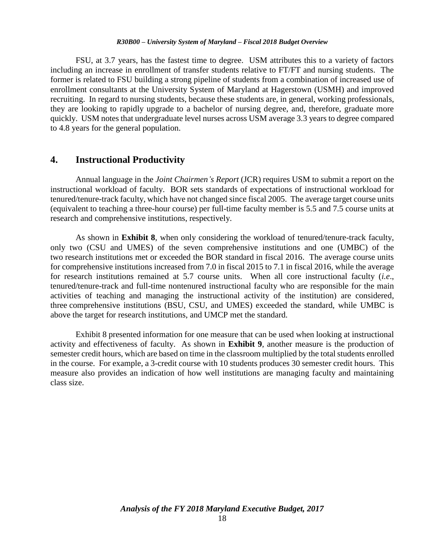FSU, at 3.7 years, has the fastest time to degree. USM attributes this to a variety of factors including an increase in enrollment of transfer students relative to FT/FT and nursing students. The former is related to FSU building a strong pipeline of students from a combination of increased use of enrollment consultants at the University System of Maryland at Hagerstown (USMH) and improved recruiting. In regard to nursing students, because these students are, in general, working professionals, they are looking to rapidly upgrade to a bachelor of nursing degree, and, therefore, graduate more quickly. USM notes that undergraduate level nurses across USM average 3.3 years to degree compared to 4.8 years for the general population.

### **4. Instructional Productivity**

Annual language in the *Joint Chairmen's Report* (JCR) requires USM to submit a report on the instructional workload of faculty. BOR sets standards of expectations of instructional workload for tenured/tenure-track faculty, which have not changed since fiscal 2005. The average target course units (equivalent to teaching a three-hour course) per full-time faculty member is 5.5 and 7.5 course units at research and comprehensive institutions, respectively.

As shown in **Exhibit 8**, when only considering the workload of tenured/tenure-track faculty, only two (CSU and UMES) of the seven comprehensive institutions and one (UMBC) of the two research institutions met or exceeded the BOR standard in fiscal 2016. The average course units for comprehensive institutions increased from 7.0 in fiscal 2015 to 7.1 in fiscal 2016, while the average for research institutions remained at 5.7 course units. When all core instructional faculty (*i.e*., tenured/tenure-track and full-time nontenured instructional faculty who are responsible for the main activities of teaching and managing the instructional activity of the institution) are considered, three comprehensive institutions (BSU, CSU, and UMES) exceeded the standard, while UMBC is above the target for research institutions, and UMCP met the standard.

Exhibit 8 presented information for one measure that can be used when looking at instructional activity and effectiveness of faculty. As shown in **Exhibit 9**, another measure is the production of semester credit hours, which are based on time in the classroom multiplied by the total students enrolled in the course. For example, a 3-credit course with 10 students produces 30 semester credit hours. This measure also provides an indication of how well institutions are managing faculty and maintaining class size.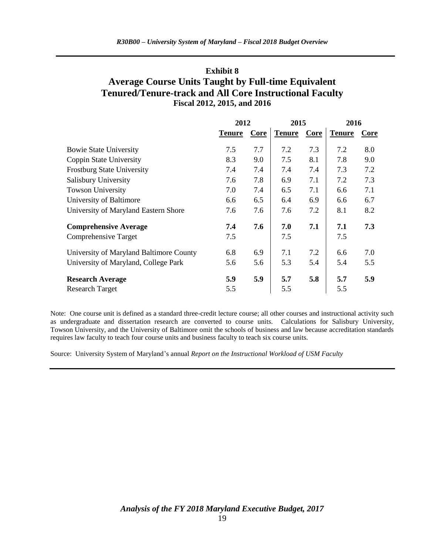### **Exhibit 8 Average Course Units Taught by Full-time Equivalent Tenured/Tenure-track and All Core Instructional Faculty Fiscal 2012, 2015, and 2016**

|                                         | 2012          |      | 2015          |      | 2016          |             |
|-----------------------------------------|---------------|------|---------------|------|---------------|-------------|
|                                         | <b>Tenure</b> | Core | <b>Tenure</b> | Core | <b>Tenure</b> | <b>Core</b> |
| <b>Bowie State University</b>           | 7.5           | 7.7  | 7.2           | 7.3  | 7.2           | 8.0         |
| Coppin State University                 | 8.3           | 9.0  | 7.5           | 8.1  | 7.8           | 9.0         |
| <b>Frostburg State University</b>       | 7.4           | 7.4  | 7.4           | 7.4  | 7.3           | 7.2         |
| Salisbury University                    | 7.6           | 7.8  | 6.9           | 7.1  | 7.2           | 7.3         |
| <b>Towson University</b>                | 7.0           | 7.4  | 6.5           | 7.1  | 6.6           | 7.1         |
| University of Baltimore                 | 6.6           | 6.5  | 6.4           | 6.9  | 6.6           | 6.7         |
| University of Maryland Eastern Shore    | 7.6           | 7.6  | 7.6           | 7.2  | 8.1           | 8.2         |
| <b>Comprehensive Average</b>            | 7.4           | 7.6  | 7.0           | 7.1  | 7.1           | 7.3         |
| Comprehensive Target                    | 7.5           |      | 7.5           |      | 7.5           |             |
| University of Maryland Baltimore County | 6.8           | 6.9  | 7.1           | 7.2  | 6.6           | 7.0         |
| University of Maryland, College Park    | 5.6           | 5.6  | 5.3           | 5.4  | 5.4           | 5.5         |
| <b>Research Average</b>                 | 5.9           | 5.9  | 5.7           | 5.8  | 5.7           | 5.9         |
| <b>Research Target</b>                  | 5.5           |      | 5.5           |      | 5.5           |             |

Note: One course unit is defined as a standard three-credit lecture course; all other courses and instructional activity such as undergraduate and dissertation research are converted to course units. Calculations for Salisbury University, Towson University, and the University of Baltimore omit the schools of business and law because accreditation standards requires law faculty to teach four course units and business faculty to teach six course units.

Source: University System of Maryland's annual *Report on the Instructional Workload of USM Faculty*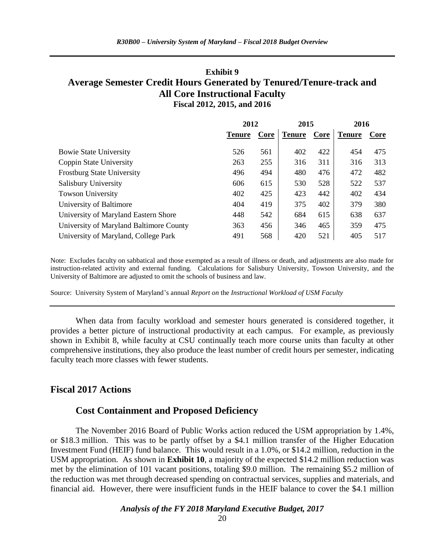### **Exhibit 9 Average Semester Credit Hours Generated by Tenured/Tenure-track and All Core Instructional Faculty Fiscal 2012, 2015, and 2016**

|                                         | 2012          |      | 2015          |      | 2016          |      |
|-----------------------------------------|---------------|------|---------------|------|---------------|------|
|                                         | <b>Tenure</b> | Core | <b>Tenure</b> | Core | <b>Tenure</b> | Core |
| <b>Bowie State University</b>           | 526           | 561  | 402           | 422  | 454           | 475  |
| Coppin State University                 | 263           | 255  | 316           | 311  | 316           | 313  |
| <b>Frostburg State University</b>       | 496           | 494  | 480           | 476  | 472           | 482  |
| Salisbury University                    | 606           | 615  | 530           | 528  | 522           | 537  |
| <b>Towson University</b>                | 402           | 425  | 423           | 442  | 402           | 434  |
| University of Baltimore                 | 404           | 419  | 375           | 402  | 379           | 380  |
| University of Maryland Eastern Shore    | 448           | 542  | 684           | 615  | 638           | 637  |
| University of Maryland Baltimore County | 363           | 456  | 346           | 465  | 359           | 475  |
| University of Maryland, College Park    | 491           | 568  | 420           | 521  | 405           | 517  |

Note: Excludes faculty on sabbatical and those exempted as a result of illness or death, and adjustments are also made for instruction-related activity and external funding. Calculations for Salisbury University, Towson University, and the University of Baltimore are adjusted to omit the schools of business and law.

Source: University System of Maryland's annual *Report on* the *Instructional Workload of USM Faculty* 

When data from faculty workload and semester hours generated is considered together, it provides a better picture of instructional productivity at each campus. For example, as previously shown in Exhibit 8, while faculty at CSU continually teach more course units than faculty at other comprehensive institutions, they also produce the least number of credit hours per semester, indicating faculty teach more classes with fewer students.

### **Fiscal 2017 Actions**

#### **Cost Containment and Proposed Deficiency**

The November 2016 Board of Public Works action reduced the USM appropriation by 1.4%, or \$18.3 million. This was to be partly offset by a \$4.1 million transfer of the Higher Education Investment Fund (HEIF) fund balance. This would result in a 1.0%, or \$14.2 million, reduction in the USM appropriation. As shown in **Exhibit 10**, a majority of the expected \$14.2 million reduction was met by the elimination of 101 vacant positions, totaling \$9.0 million. The remaining \$5.2 million of the reduction was met through decreased spending on contractual services, supplies and materials, and financial aid. However, there were insufficient funds in the HEIF balance to cover the \$4.1 million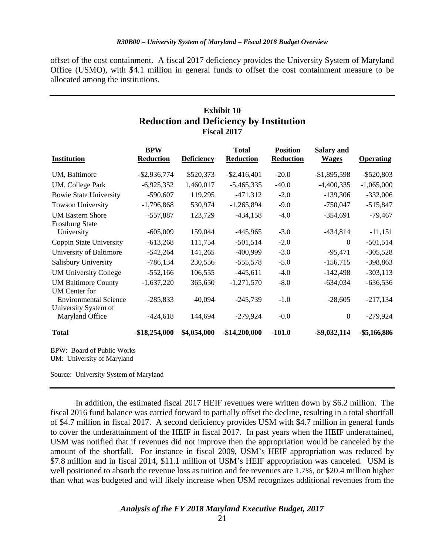offset of the cost containment. A fiscal 2017 deficiency provides the University System of Maryland Office (USMO), with \$4.1 million in general funds to offset the cost containment measure to be allocated among the institutions.

| <b>Exhibit 10</b><br><b>Reduction and Deficiency by Institution</b><br><b>Fiscal 2017</b> |                                |                   |                                  |                                     |                                   |                  |  |
|-------------------------------------------------------------------------------------------|--------------------------------|-------------------|----------------------------------|-------------------------------------|-----------------------------------|------------------|--|
| <b>Institution</b>                                                                        | <b>BPW</b><br><b>Reduction</b> | <b>Deficiency</b> | <b>Total</b><br><b>Reduction</b> | <b>Position</b><br><b>Reduction</b> | <b>Salary and</b><br><b>Wages</b> | <b>Operating</b> |  |
| UM, Baltimore                                                                             | $-$ \$2,936,774                | \$520,373         | $-$ \$2,416,401                  | $-20.0$                             | $-$1,895,598$                     | $-$ \$520,803    |  |
| UM, College Park                                                                          | $-6,925,352$                   | 1,460,017         | $-5,465,335$                     | $-40.0$                             | $-4,400,335$                      | $-1,065,000$     |  |
| <b>Bowie State University</b>                                                             | $-590,607$                     | 119,295           | $-471,312$                       | $-2.0$                              | $-139,306$                        | $-332,006$       |  |
| <b>Towson University</b>                                                                  | $-1,796,868$                   | 530,974           | $-1,265,894$                     | $-9.0$                              | $-750,047$                        | $-515,847$       |  |
| <b>UM Eastern Shore</b><br><b>Frostburg State</b>                                         | $-557,887$                     | 123,729           | $-434,158$                       | $-4.0$                              | $-354,691$                        | $-79,467$        |  |
| University                                                                                | $-605,009$                     | 159,044           | $-445,965$                       | $-3.0$                              | $-434,814$                        | $-11,151$        |  |
| Coppin State University                                                                   | $-613,268$                     | 111,754           | $-501,514$                       | $-2.0$                              | $\theta$                          | $-501,514$       |  |
| University of Baltimore                                                                   | $-542,264$                     | 141,265           | $-400,999$                       | $-3.0$                              | $-95,471$                         | $-305,528$       |  |
| Salisbury University                                                                      | $-786,134$                     | 230,556           | $-555,578$                       | $-5.0$                              | $-156,715$                        | $-398,863$       |  |
| <b>UM University College</b>                                                              | $-552,166$                     | 106,555           | $-445,611$                       | $-4.0$                              | $-142,498$                        | $-303,113$       |  |
| <b>UM Baltimore County</b><br><b>UM</b> Center for                                        | $-1,637,220$                   | 365,650           | $-1,271,570$                     | $-8.0$                              | $-634,034$                        | $-636,536$       |  |
| <b>Environmental Science</b><br>University System of                                      | $-285,833$                     | 40,094            | $-245,739$                       | $-1.0$                              | $-28,605$                         | $-217,134$       |  |
| Maryland Office                                                                           | $-424,618$                     | 144,694           | $-279,924$                       | $-0.0$                              | $\overline{0}$                    | $-279,924$       |  |
| <b>Total</b>                                                                              | $-$18,254,000$                 | \$4,054,000       | $-$14,200,000$                   | $-101.0$                            | $-$ \$9,032,114                   | -\$5,166,886     |  |
| <b>BPW: Board of Public Works</b>                                                         |                                |                   |                                  |                                     |                                   |                  |  |

UM: University of Maryland

Source: University System of Maryland

In addition, the estimated fiscal 2017 HEIF revenues were written down by \$6.2 million. The fiscal 2016 fund balance was carried forward to partially offset the decline, resulting in a total shortfall of \$4.7 million in fiscal 2017. A second deficiency provides USM with \$4.7 million in general funds to cover the underattainment of the HEIF in fiscal 2017. In past years when the HEIF underattained, USM was notified that if revenues did not improve then the appropriation would be canceled by the amount of the shortfall. For instance in fiscal 2009, USM's HEIF appropriation was reduced by \$7.8 million and in fiscal 2014, \$11.1 million of USM's HEIF appropriation was canceled. USM is well positioned to absorb the revenue loss as tuition and fee revenues are 1.7%, or \$20.4 million higher than what was budgeted and will likely increase when USM recognizes additional revenues from the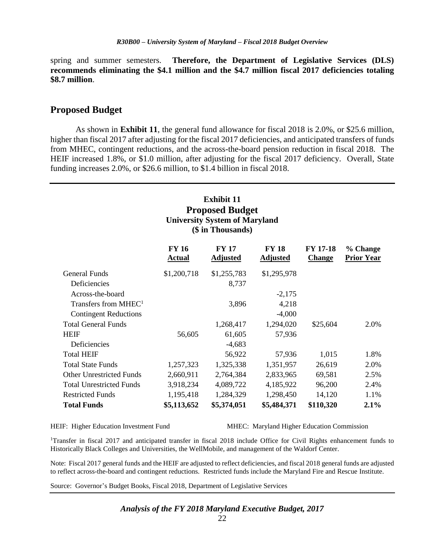spring and summer semesters. **Therefore, the Department of Legislative Services (DLS) recommends eliminating the \$4.1 million and the \$4.7 million fiscal 2017 deficiencies totaling \$8.7 million**.

#### **Proposed Budget**

As shown in **Exhibit 11**, the general fund allowance for fiscal 2018 is 2.0%, or \$25.6 million, higher than fiscal 2017 after adjusting for the fiscal 2017 deficiencies, and anticipated transfers of funds from MHEC, contingent reductions, and the across-the-board pension reduction in fiscal 2018. The HEIF increased 1.8%, or \$1.0 million, after adjusting for the fiscal 2017 deficiency. Overall, State funding increases 2.0%, or \$26.6 million, to \$1.4 billion in fiscal 2018.

### **Exhibit 11 Proposed Budget University System of Maryland (\$ in Thousands)**

|                                  | <b>FY 16</b><br><b>Actual</b> | <b>FY 17</b><br><b>Adjusted</b> | <b>FY 18</b><br><b>Adjusted</b> | <b>FY 17-18</b><br><b>Change</b> | % Change<br><b>Prior Year</b> |
|----------------------------------|-------------------------------|---------------------------------|---------------------------------|----------------------------------|-------------------------------|
| General Funds                    | \$1,200,718                   | \$1,255,783                     | \$1,295,978                     |                                  |                               |
| <b>Deficiencies</b>              |                               | 8,737                           |                                 |                                  |                               |
| Across-the-board                 |                               |                                 | $-2,175$                        |                                  |                               |
| Transfers from MHEC <sup>1</sup> |                               | 3,896                           | 4,218                           |                                  |                               |
| <b>Contingent Reductions</b>     |                               |                                 | $-4,000$                        |                                  |                               |
| <b>Total General Funds</b>       |                               | 1,268,417                       | 1,294,020                       | \$25,604                         | 2.0%                          |
| <b>HEIF</b>                      | 56,605                        | 61,605                          | 57,936                          |                                  |                               |
| Deficiencies                     |                               | $-4,683$                        |                                 |                                  |                               |
| <b>Total HEIF</b>                |                               | 56,922                          | 57,936                          | 1,015                            | 1.8%                          |
| <b>Total State Funds</b>         | 1,257,323                     | 1,325,338                       | 1,351,957                       | 26,619                           | 2.0%                          |
| <b>Other Unrestricted Funds</b>  | 2,660,911                     | 2,764,384                       | 2,833,965                       | 69,581                           | 2.5%                          |
| <b>Total Unrestricted Funds</b>  | 3,918,234                     | 4,089,722                       | 4,185,922                       | 96,200                           | 2.4%                          |
| <b>Restricted Funds</b>          | 1,195,418                     | 1,284,329                       | 1,298,450                       | 14,120                           | 1.1%                          |
| <b>Total Funds</b>               | \$5,113,652                   | \$5,374,051                     | \$5,484,371                     | \$110,320                        | 2.1%                          |

HEIF: Higher Education Investment Fund MHEC: Maryland Higher Education Commission

<sup>1</sup>Transfer in fiscal 2017 and anticipated transfer in fiscal 2018 include Office for Civil Rights enhancement funds to Historically Black Colleges and Universities, the WellMobile, and management of the Waldorf Center.

Note: Fiscal 2017 general funds and the HEIF are adjusted to reflect deficiencies, and fiscal 2018 general funds are adjusted to reflect across-the-board and contingent reductions. Restricted funds include the Maryland Fire and Rescue Institute.

Source: Governor's Budget Books, Fiscal 2018, Department of Legislative Services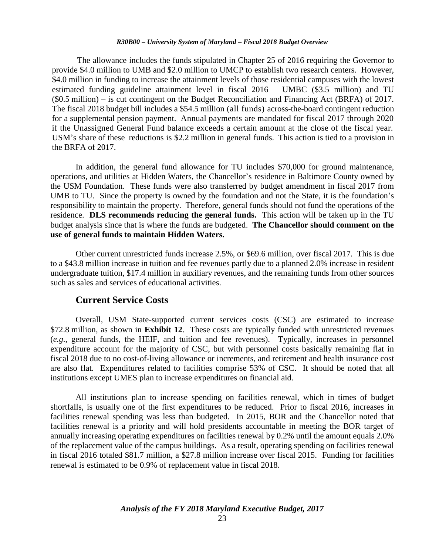The allowance includes the funds stipulated in Chapter 25 of 2016 requiring the Governor to provide \$4.0 million to UMB and \$2.0 million to UMCP to establish two research centers. However, \$4.0 million in funding to increase the attainment levels of those residential campuses with the lowest estimated funding guideline attainment level in fiscal 2016 – UMBC (\$3.5 million) and TU (\$0.5 million) – is cut contingent on the Budget Reconciliation and Financing Act (BRFA) of 2017. The fiscal 2018 budget bill includes a \$54.5 million (all funds) across-the-board contingent reduction for a supplemental pension payment. Annual payments are mandated for fiscal 2017 through 2020 if the Unassigned General Fund balance exceeds a certain amount at the close of the fiscal year. USM's share of these reductions is \$2.2 million in general funds. This action is tied to a provision in the BRFA of 2017.

In addition, the general fund allowance for TU includes \$70,000 for ground maintenance, operations, and utilities at Hidden Waters, the Chancellor's residence in Baltimore County owned by the USM Foundation. These funds were also transferred by budget amendment in fiscal 2017 from UMB to TU. Since the property is owned by the foundation and not the State, it is the foundation's responsibility to maintain the property. Therefore, general funds should not fund the operations of the residence. **DLS recommends reducing the general funds.** This action will be taken up in the TU budget analysis since that is where the funds are budgeted. **The Chancellor should comment on the use of general funds to maintain Hidden Waters.**

Other current unrestricted funds increase 2.5%, or \$69.6 million, over fiscal 2017. This is due to a \$43.8 million increase in tuition and fee revenues partly due to a planned 2.0% increase in resident undergraduate tuition, \$17.4 million in auxiliary revenues, and the remaining funds from other sources such as sales and services of educational activities.

#### **Current Service Costs**

Overall, USM State-supported current services costs (CSC) are estimated to increase \$72.8 million, as shown in **Exhibit 12**. These costs are typically funded with unrestricted revenues (*e.g*., general funds, the HEIF, and tuition and fee revenues). Typically, increases in personnel expenditure account for the majority of CSC, but with personnel costs basically remaining flat in fiscal 2018 due to no cost-of-living allowance or increments, and retirement and health insurance cost are also flat. Expenditures related to facilities comprise 53% of CSC. It should be noted that all institutions except UMES plan to increase expenditures on financial aid.

All institutions plan to increase spending on facilities renewal, which in times of budget shortfalls, is usually one of the first expenditures to be reduced. Prior to fiscal 2016, increases in facilities renewal spending was less than budgeted. In 2015, BOR and the Chancellor noted that facilities renewal is a priority and will hold presidents accountable in meeting the BOR target of annually increasing operating expenditures on facilities renewal by 0.2% until the amount equals 2.0% of the replacement value of the campus buildings. As a result, operating spending on facilities renewal in fiscal 2016 totaled \$81.7 million, a \$27.8 million increase over fiscal 2015. Funding for facilities renewal is estimated to be 0.9% of replacement value in fiscal 2018.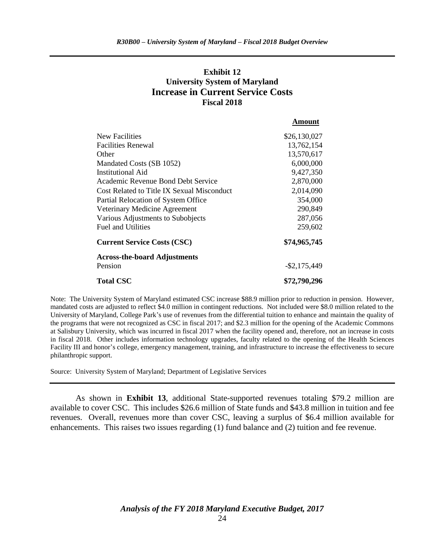### **Exhibit 12 University System of Maryland Increase in Current Service Costs Fiscal 2018**

**Amount**

|                                            | , ,,,,,,,,,,,   |
|--------------------------------------------|-----------------|
| <b>New Facilities</b>                      | \$26,130,027    |
| Facilities Renewal                         | 13,762,154      |
| Other                                      | 13,570,617      |
| Mandated Costs (SB 1052)                   | 6,000,000       |
| <b>Institutional Aid</b>                   | 9,427,350       |
| <b>Academic Revenue Bond Debt Service</b>  | 2,870,000       |
| Cost Related to Title IX Sexual Misconduct | 2,014,090       |
| Partial Relocation of System Office        | 354,000         |
| Veterinary Medicine Agreement              | 290,849         |
| Various Adjustments to Subobjects          | 287,056         |
| <b>Fuel and Utilities</b>                  | 259,602         |
| <b>Current Service Costs (CSC)</b>         | \$74,965,745    |
| <b>Across-the-board Adjustments</b>        |                 |
| Pension                                    | $-$ \$2,175,449 |
| <b>Total CSC</b>                           | \$72,790,296    |

Note: The University System of Maryland estimated CSC increase \$88.9 million prior to reduction in pension. However, mandated costs are adjusted to reflect \$4.0 million in contingent reductions. Not included were \$8.0 million related to the University of Maryland, College Park's use of revenues from the differential tuition to enhance and maintain the quality of the programs that were not recognized as CSC in fiscal 2017; and \$2.3 million for the opening of the Academic Commons at Salisbury University, which was incurred in fiscal 2017 when the facility opened and, therefore, not an increase in costs in fiscal 2018. Other includes information technology upgrades, faculty related to the opening of the Health Sciences Facility III and honor's college, emergency management, training, and infrastructure to increase the effectiveness to secure philanthropic support.

Source: University System of Maryland; Department of Legislative Services

As shown in **Exhibit 13**, additional State-supported revenues totaling \$79.2 million are available to cover CSC. This includes \$26.6 million of State funds and \$43.8 million in tuition and fee revenues. Overall, revenues more than cover CSC, leaving a surplus of \$6.4 million available for enhancements. This raises two issues regarding (1) fund balance and (2) tuition and fee revenue.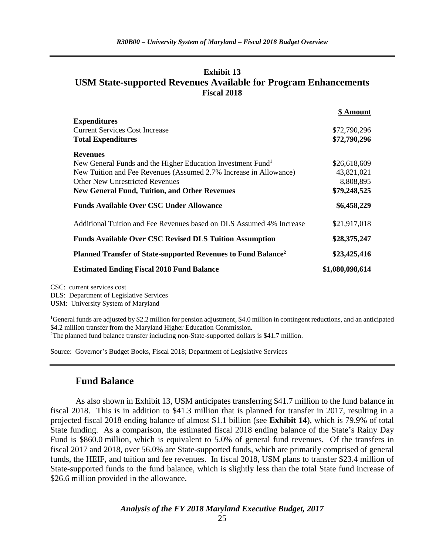### **Exhibit 13 USM State-supported Revenues Available for Program Enhancements Fiscal 2018**

|                                                                           | \$ Amount       |
|---------------------------------------------------------------------------|-----------------|
| <b>Expenditures</b>                                                       |                 |
| <b>Current Services Cost Increase</b>                                     | \$72,790,296    |
| <b>Total Expenditures</b>                                                 | \$72,790,296    |
| <b>Revenues</b>                                                           |                 |
| New General Funds and the Higher Education Investment Fund <sup>1</sup>   | \$26,618,609    |
| New Tuition and Fee Revenues (Assumed 2.7% Increase in Allowance)         | 43,821,021      |
| <b>Other New Unrestricted Revenues</b>                                    | 8,808,895       |
| <b>New General Fund, Tuition, and Other Revenues</b>                      | \$79,248,525    |
| <b>Funds Available Over CSC Under Allowance</b>                           | \$6,458,229     |
| Additional Tuition and Fee Revenues based on DLS Assumed 4% Increase      | \$21,917,018    |
| <b>Funds Available Over CSC Revised DLS Tuition Assumption</b>            | \$28,375,247    |
| Planned Transfer of State-supported Revenues to Fund Balance <sup>2</sup> | \$23,425,416    |
| <b>Estimated Ending Fiscal 2018 Fund Balance</b>                          | \$1,080,098,614 |

CSC: current services cost

DLS: Department of Legislative Services

USM: University System of Maryland

<sup>1</sup>General funds are adjusted by \$2.2 million for pension adjustment, \$4.0 million in contingent reductions, and an anticipated \$4.2 million transfer from the Maryland Higher Education Commission. <sup>2</sup>The planned fund balance transfer including non-State-supported dollars is \$41.7 million.

Source: Governor's Budget Books, Fiscal 2018; Department of Legislative Services

### **Fund Balance**

As also shown in Exhibit 13, USM anticipates transferring \$41.7 million to the fund balance in fiscal 2018. This is in addition to \$41.3 million that is planned for transfer in 2017, resulting in a projected fiscal 2018 ending balance of almost \$1.1 billion (see **Exhibit 14**), which is 79.9% of total State funding. As a comparison, the estimated fiscal 2018 ending balance of the State's Rainy Day Fund is \$860.0 million, which is equivalent to 5.0% of general fund revenues. Of the transfers in fiscal 2017 and 2018, over 56.0% are State-supported funds, which are primarily comprised of general funds, the HEIF, and tuition and fee revenues. In fiscal 2018, USM plans to transfer \$23.4 million of State-supported funds to the fund balance, which is slightly less than the total State fund increase of \$26.6 million provided in the allowance.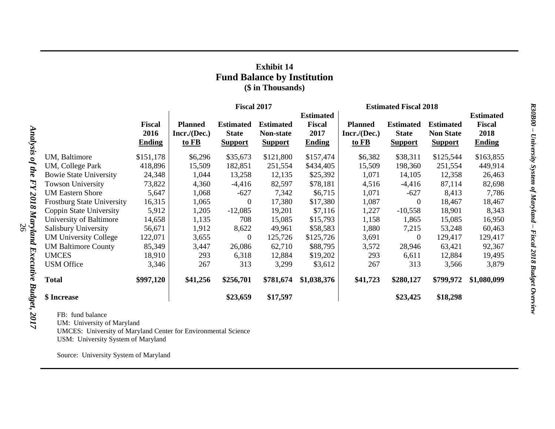### **Exhibit 14 Fund Balance by Institution (\$ in Thousands)**

|                                   |                                        | <b>Fiscal 2017</b>                      |                                                    |                                                 |                                                            |                                         | <b>Estimated Fiscal 2018</b>                       |                                                        |                                                            |  |
|-----------------------------------|----------------------------------------|-----------------------------------------|----------------------------------------------------|-------------------------------------------------|------------------------------------------------------------|-----------------------------------------|----------------------------------------------------|--------------------------------------------------------|------------------------------------------------------------|--|
|                                   | <b>Fiscal</b><br>2016<br><b>Ending</b> | <b>Planned</b><br>Incr./(Dec.)<br>to FB | <b>Estimated</b><br><b>State</b><br><b>Support</b> | <b>Estimated</b><br>Non-state<br><b>Support</b> | <b>Estimated</b><br><b>Fiscal</b><br>2017<br><b>Ending</b> | <b>Planned</b><br>Incr./(Dec.)<br>to FB | <b>Estimated</b><br><b>State</b><br><b>Support</b> | <b>Estimated</b><br><b>Non State</b><br><b>Support</b> | <b>Estimated</b><br><b>Fiscal</b><br>2018<br><b>Ending</b> |  |
| UM, Baltimore                     | \$151,178                              | \$6,296                                 | \$35,673                                           | \$121,800                                       | \$157,474                                                  | \$6,382                                 | \$38,311                                           | \$125,544                                              | \$163,855                                                  |  |
| UM, College Park                  | 418,896                                | 15,509                                  | 182,851                                            | 251,554                                         | \$434,405                                                  | 15,509                                  | 198,360                                            | 251,554                                                | 449,914                                                    |  |
| <b>Bowie State University</b>     | 24,348                                 | 1,044                                   | 13,258                                             | 12,135                                          | \$25,392                                                   | 1,071                                   | 14,105                                             | 12,358                                                 | 26,463                                                     |  |
| <b>Towson University</b>          | 73,822                                 | 4,360                                   | $-4,416$                                           | 82,597                                          | \$78,181                                                   | 4,516                                   | $-4,416$                                           | 87,114                                                 | 82,698                                                     |  |
| <b>UM Eastern Shore</b>           | 5,647                                  | 1,068                                   | $-627$                                             | 7,342                                           | \$6,715                                                    | 1,071                                   | $-627$                                             | 8,413                                                  | 7,786                                                      |  |
| <b>Frostburg State University</b> | 16,315                                 | 1,065                                   | $\boldsymbol{0}$                                   | 17,380                                          | \$17,380                                                   | 1,087                                   | $\mathbf{0}$                                       | 18,467                                                 | 18,467                                                     |  |
| Coppin State University           | 5,912                                  | 1,205                                   | $-12,085$                                          | 19,201                                          | \$7,116                                                    | 1,227                                   | $-10,558$                                          | 18,901                                                 | 8,343                                                      |  |
| University of Baltimore           | 14,658                                 | 1,135                                   | 708                                                | 15,085                                          | \$15,793                                                   | 1,158                                   | 1,865                                              | 15,085                                                 | 16,950                                                     |  |
| Salisbury University              | 56,671                                 | 1,912                                   | 8,622                                              | 49,961                                          | \$58,583                                                   | 1,880                                   | 7,215                                              | 53,248                                                 | 60,463                                                     |  |
| <b>UM University College</b>      | 122,071                                | 3,655                                   | $\theta$                                           | 125,726                                         | \$125,726                                                  | 3,691                                   | $\theta$                                           | 129,417                                                | 129,417                                                    |  |
| <b>UM Baltimore County</b>        | 85,349                                 | 3,447                                   | 26,086                                             | 62,710                                          | \$88,795                                                   | 3,572                                   | 28,946                                             | 63,421                                                 | 92,367                                                     |  |
| <b>UMCES</b>                      | 18,910                                 | 293                                     | 6,318                                              | 12,884                                          | \$19,202                                                   | 293                                     | 6,611                                              | 12,884                                                 | 19,495                                                     |  |
| <b>USM</b> Office                 | 3,346                                  | 267                                     | 313                                                | 3,299                                           | \$3,612                                                    | 267                                     | 313                                                | 3,566                                                  | 3,879                                                      |  |
| <b>Total</b>                      | \$997,120                              | \$41,256                                | \$256,701                                          | \$781,674                                       | \$1,038,376                                                | \$41,723                                | \$280,127                                          | \$799,972                                              | \$1,080,099                                                |  |
| \$ Increase                       |                                        |                                         | \$23,659                                           | \$17,597                                        |                                                            |                                         | \$23,425                                           | \$18,298                                               |                                                            |  |

FB: fund balance

UM: University of Maryland

UMCES: University of Maryland Center for Environmental Science

USM: University System of Maryland

Source: University System of Maryland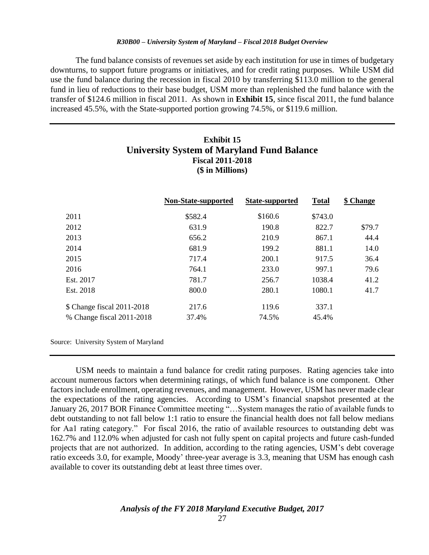The fund balance consists of revenues set aside by each institution for use in times of budgetary downturns, to support future programs or initiatives, and for credit rating purposes. While USM did use the fund balance during the recession in fiscal 2010 by transferring \$113.0 million to the general fund in lieu of reductions to their base budget, USM more than replenished the fund balance with the transfer of \$124.6 million in fiscal 2011. As shown in **Exhibit 15**, since fiscal 2011, the fund balance increased 45.5%, with the State-supported portion growing 74.5%, or \$119.6 million.

### **Exhibit 15 University System of Maryland Fund Balance Fiscal 2011-2018 (\$ in Millions)**

|                            | Non-State-supported | State-supported | <b>Total</b> | \$ Change |
|----------------------------|---------------------|-----------------|--------------|-----------|
| 2011                       | \$582.4             | \$160.6         | \$743.0      |           |
| 2012                       | 631.9               | 190.8           | 822.7        | \$79.7    |
| 2013                       | 656.2               | 210.9           | 867.1        | 44.4      |
| 2014                       | 681.9               | 199.2           | 881.1        | 14.0      |
| 2015                       | 717.4               | 200.1           | 917.5        | 36.4      |
| 2016                       | 764.1               | 233.0           | 997.1        | 79.6      |
| Est. 2017                  | 781.7               | 256.7           | 1038.4       | 41.2      |
| Est. 2018                  | 800.0               | 280.1           | 1080.1       | 41.7      |
| \$ Change fiscal 2011-2018 | 217.6               | 119.6           | 337.1        |           |
| % Change fiscal 2011-2018  | 37.4%               | 74.5%           | 45.4%        |           |
|                            |                     |                 |              |           |

Source: University System of Maryland

USM needs to maintain a fund balance for credit rating purposes. Rating agencies take into account numerous factors when determining ratings, of which fund balance is one component. Other factors include enrollment, operating revenues, and management. However, USM has never made clear the expectations of the rating agencies. According to USM's financial snapshot presented at the January 26, 2017 BOR Finance Committee meeting "…System manages the ratio of available funds to debt outstanding to not fall below 1:1 ratio to ensure the financial health does not fall below medians for Aa1 rating category." For fiscal 2016, the ratio of available resources to outstanding debt was 162.7% and 112.0% when adjusted for cash not fully spent on capital projects and future cash-funded projects that are not authorized. In addition, according to the rating agencies, USM's debt coverage ratio exceeds 3.0, for example, Moody' three-year average is 3.3, meaning that USM has enough cash available to cover its outstanding debt at least three times over.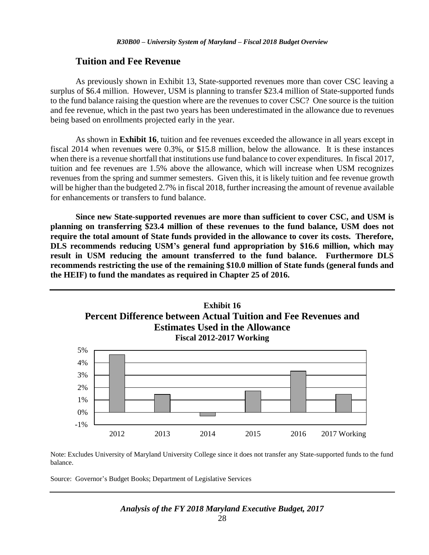### **Tuition and Fee Revenue**

As previously shown in Exhibit 13, State-supported revenues more than cover CSC leaving a surplus of \$6.4 million. However, USM is planning to transfer \$23.4 million of State-supported funds to the fund balance raising the question where are the revenues to cover CSC? One source is the tuition and fee revenue, which in the past two years has been underestimated in the allowance due to revenues being based on enrollments projected early in the year.

As shown in **Exhibit 16**, tuition and fee revenues exceeded the allowance in all years except in fiscal 2014 when revenues were 0.3%, or \$15.8 million, below the allowance. It is these instances when there is a revenue shortfall that institutions use fund balance to cover expenditures. In fiscal 2017, tuition and fee revenues are 1.5% above the allowance, which will increase when USM recognizes revenues from the spring and summer semesters. Given this, it is likely tuition and fee revenue growth will be higher than the budgeted 2.7% in fiscal 2018, further increasing the amount of revenue available for enhancements or transfers to fund balance.

**Since new State-supported revenues are more than sufficient to cover CSC, and USM is planning on transferring \$23.4 million of these revenues to the fund balance, USM does not require the total amount of State funds provided in the allowance to cover its costs. Therefore, DLS recommends reducing USM's general fund appropriation by \$16.6 million, which may result in USM reducing the amount transferred to the fund balance. Furthermore DLS recommends restricting the use of the remaining \$10.0 million of State funds (general funds and the HEIF) to fund the mandates as required in Chapter 25 of 2016.** 



Note: Excludes University of Maryland University College since it does not transfer any State-supported funds to the fund balance.

2012 2013 2014 2015 2016 2017 Working

Source: Governor's Budget Books; Department of Legislative Services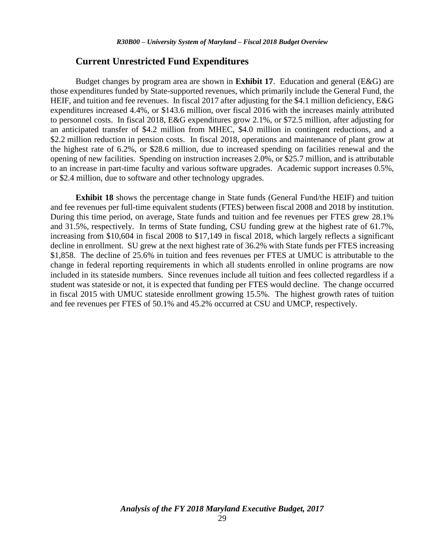#### **Current Unrestricted Fund Expenditures**

Budget changes by program area are shown in **Exhibit 17**. Education and general (E&G) are those expenditures funded by State-supported revenues, which primarily include the General Fund, the HEIF, and tuition and fee revenues. In fiscal 2017 after adjusting for the \$4.1 million deficiency, E&G expenditures increased 4.4%, or \$143.6 million, over fiscal 2016 with the increases mainly attributed to personnel costs. In fiscal 2018, E&G expenditures grow 2.1%, or \$72.5 million, after adjusting for an anticipated transfer of \$4.2 million from MHEC, \$4.0 million in contingent reductions, and a \$2.2 million reduction in pension costs. In fiscal 2018, operations and maintenance of plant grow at the highest rate of 6.2%, or \$28.6 million, due to increased spending on facilities renewal and the opening of new facilities. Spending on instruction increases 2.0%, or \$25.7 million, and is attributable to an increase in part-time faculty and various software upgrades. Academic support increases 0.5%, or \$2.4 million, due to software and other technology upgrades.

**Exhibit 18** shows the percentage change in State funds (General Fund/the HEIF) and tuition and fee revenues per full-time equivalent students (FTES) between fiscal 2008 and 2018 by institution. During this time period, on average, State funds and tuition and fee revenues per FTES grew 28.1% and 31.5%, respectively. In terms of State funding, CSU funding grew at the highest rate of 61.7%, increasing from \$10,604 in fiscal 2008 to \$17,149 in fiscal 2018, which largely reflects a significant decline in enrollment. SU grew at the next highest rate of 36.2% with State funds per FTES increasing \$1,858. The decline of 25.6% in tuition and fees revenues per FTES at UMUC is attributable to the change in federal reporting requirements in which all students enrolled in online programs are now included in its stateside numbers. Since revenues include all tuition and fees collected regardless if a student was stateside or not, it is expected that funding per FTES would decline. The change occurred in fiscal 2015 with UMUC stateside enrollment growing 15.5%. The highest growth rates of tuition and fee revenues per FTES of 50.1% and 45.2% occurred at CSU and UMCP, respectively.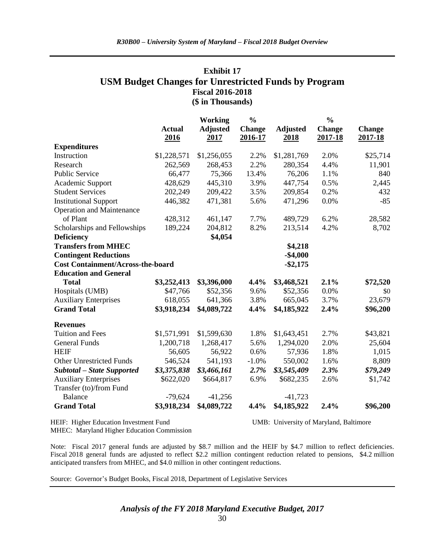### **Exhibit 17 USM Budget Changes for Unrestricted Funds by Program Fiscal 2016-2018 (\$ in Thousands)**

|                                          |                       | <b>Working</b>          |                          |                         | $\frac{0}{0}$            |                          |
|------------------------------------------|-----------------------|-------------------------|--------------------------|-------------------------|--------------------------|--------------------------|
|                                          | <b>Actual</b><br>2016 | <b>Adjusted</b><br>2017 | <b>Change</b><br>2016-17 | <b>Adjusted</b><br>2018 | <b>Change</b><br>2017-18 | <b>Change</b><br>2017-18 |
| <b>Expenditures</b>                      |                       |                         |                          |                         |                          |                          |
| Instruction                              | \$1,228,571           | \$1,256,055             | 2.2%                     | \$1,281,769             | 2.0%                     | \$25,714                 |
| Research                                 | 262,569               | 268,453                 | 2.2%                     | 280,354                 | 4.4%                     | 11,901                   |
| <b>Public Service</b>                    | 66,477                | 75,366                  | 13.4%                    | 76,206                  | 1.1%                     | 840                      |
| Academic Support                         | 428,629               | 445,310                 | 3.9%                     | 447,754                 | 0.5%                     | 2,445                    |
| <b>Student Services</b>                  | 202,249               | 209,422                 | 3.5%                     | 209,854                 | 0.2%                     | 432                      |
| <b>Institutional Support</b>             | 446,382               | 471,381                 | 5.6%                     | 471,296                 | 0.0%                     | $-85$                    |
| <b>Operation and Maintenance</b>         |                       |                         |                          |                         |                          |                          |
| of Plant                                 | 428,312               | 461,147                 | 7.7%                     | 489,729                 | 6.2%                     | 28,582                   |
| Scholarships and Fellowships             | 189,224               | 204,812                 | 8.2%                     | 213,514                 | 4.2%                     | 8,702                    |
| <b>Deficiency</b>                        |                       | \$4,054                 |                          |                         |                          |                          |
| <b>Transfers from MHEC</b>               |                       |                         |                          | \$4,218                 |                          |                          |
| <b>Contingent Reductions</b>             |                       |                         |                          | $-$4,000$               |                          |                          |
| <b>Cost Containment/Across-the-board</b> |                       |                         |                          | $-$ \$2,175             |                          |                          |
| <b>Education and General</b>             |                       |                         |                          |                         |                          |                          |
| <b>Total</b>                             | \$3,252,413           | \$3,396,000             | 4.4%                     | \$3,468,521             | 2.1%                     | \$72,520                 |
| Hospitals (UMB)                          | \$47,766              | \$52,356                | 9.6%                     | \$52,356                | 0.0%                     | \$0                      |
| <b>Auxiliary Enterprises</b>             | 618,055               | 641,366                 | 3.8%                     | 665,045                 | 3.7%                     | 23,679                   |
| <b>Grand Total</b>                       | \$3,918,234           | \$4,089,722             | 4.4%                     | \$4,185,922             | 2.4%                     | \$96,200                 |
| <b>Revenues</b>                          |                       |                         |                          |                         |                          |                          |
| <b>Tuition and Fees</b>                  | \$1,571,991           | \$1,599,630             | 1.8%                     | \$1,643,451             | 2.7%                     | \$43,821                 |
| <b>General Funds</b>                     | 1,200,718             | 1,268,417               | 5.6%                     | 1,294,020               | 2.0%                     | 25,604                   |
| <b>HEIF</b>                              | 56,605                | 56,922                  | 0.6%                     | 57,936                  | 1.8%                     | 1,015                    |
| <b>Other Unrestricted Funds</b>          | 546,524               | 541,193                 | $-1.0%$                  | 550,002                 | 1.6%                     | 8,809                    |
| <b>Subtotal - State Supported</b>        | \$3,375,838           | \$3,466,161             | 2.7%                     | \$3,545,409             | 2.3%                     | \$79,249                 |
| <b>Auxiliary Enterprises</b>             | \$622,020             | \$664,817               | 6.9%                     | \$682,235               | 2.6%                     | \$1,742                  |
| Transfer (to)/from Fund                  |                       |                         |                          |                         |                          |                          |
| <b>Balance</b>                           | $-79,624$             | $-41,256$               |                          | $-41,723$               |                          |                          |
| <b>Grand Total</b>                       | \$3,918,234           | \$4,089,722             | 4.4%                     | \$4,185,922             | 2.4%                     | \$96,200                 |

HEIF: Higher Education Investment Fund UMB: University of Maryland, Baltimore

MHEC: Maryland Higher Education Commission

Note: Fiscal 2017 general funds are adjusted by \$8.7 million and the HEIF by \$4.7 million to reflect deficiencies. Fiscal 2018 general funds are adjusted to reflect \$2.2 million contingent reduction related to pensions, \$4.2 million anticipated transfers from MHEC, and \$4.0 million in other contingent reductions.

Source: Governor's Budget Books, Fiscal 2018, Department of Legislative Services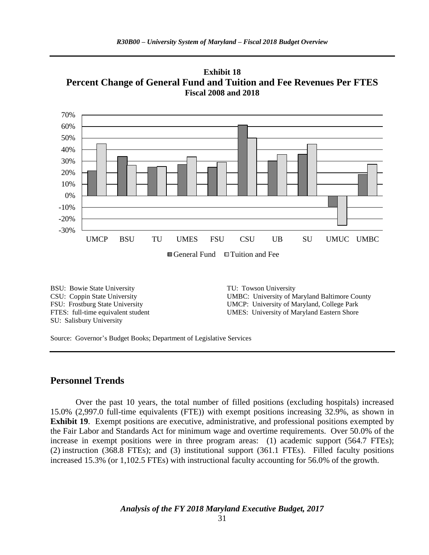**Exhibit 18 Percent Change of General Fund and Tuition and Fee Revenues Per FTES Fiscal 2008 and 2018**



SU: Salisbury University

BSU: Bowie State University TU: Towson University CSU: Coppin State University UMBC: University of Maryland Baltimore County FSU: Frostburg State University UMCP: University of Maryland, College Park FTES: full-time equivalent student UMES: University of Maryland Eastern Shore

Source: Governor's Budget Books; Department of Legislative Services

### **Personnel Trends**

Over the past 10 years, the total number of filled positions (excluding hospitals) increased 15.0% (2,997.0 full-time equivalents (FTE)) with exempt positions increasing 32.9%, as shown in **Exhibit 19.** Exempt positions are executive, administrative, and professional positions exempted by the Fair Labor and Standards Act for minimum wage and overtime requirements. Over 50.0% of the increase in exempt positions were in three program areas: (1) academic support (564.7 FTEs); (2) instruction (368.8 FTEs); and (3) institutional support (361.1 FTEs). Filled faculty positions increased 15.3% (or 1,102.5 FTEs) with instructional faculty accounting for 56.0% of the growth.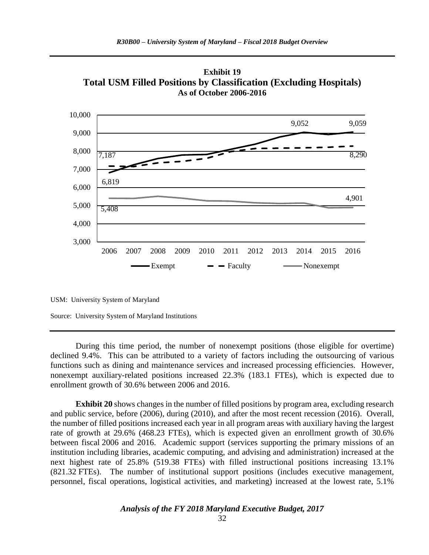

**Exhibit 19 Total USM Filled Positions by Classification (Excluding Hospitals) As of October 2006-2016**

USM: University System of Maryland

Source: University System of Maryland Institutions

During this time period, the number of nonexempt positions (those eligible for overtime) declined 9.4%. This can be attributed to a variety of factors including the outsourcing of various functions such as dining and maintenance services and increased processing efficiencies. However, nonexempt auxiliary-related positions increased 22.3% (183.1 FTEs), which is expected due to enrollment growth of 30.6% between 2006 and 2016.

**Exhibit 20** shows changes in the number of filled positions by program area, excluding research and public service, before (2006), during (2010), and after the most recent recession (2016). Overall, the number of filled positions increased each year in all program areas with auxiliary having the largest rate of growth at 29.6% (468.23 FTEs), which is expected given an enrollment growth of 30.6% between fiscal 2006 and 2016. Academic support (services supporting the primary missions of an institution including libraries, academic computing, and advising and administration) increased at the next highest rate of 25.8% (519.38 FTEs) with filled instructional positions increasing 13.1% (821.32 FTEs). The number of institutional support positions (includes executive management, personnel, fiscal operations, logistical activities, and marketing) increased at the lowest rate, 5.1%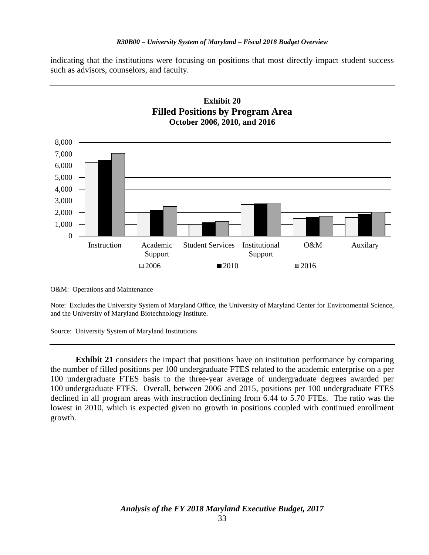indicating that the institutions were focusing on positions that most directly impact student success such as advisors, counselors, and faculty.



O&M: Operations and Maintenance

Note: Excludes the University System of Maryland Office, the University of Maryland Center for Environmental Science, and the University of Maryland Biotechnology Institute.

Source: University System of Maryland Institutions

**Exhibit 21** considers the impact that positions have on institution performance by comparing the number of filled positions per 100 undergraduate FTES related to the academic enterprise on a per 100 undergraduate FTES basis to the three-year average of undergraduate degrees awarded per 100 undergraduate FTES. Overall, between 2006 and 2015, positions per 100 undergraduate FTES declined in all program areas with instruction declining from 6.44 to 5.70 FTEs. The ratio was the lowest in 2010, which is expected given no growth in positions coupled with continued enrollment growth.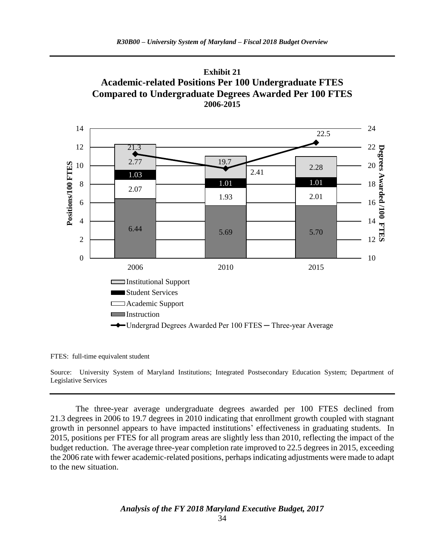



FTES: full-time equivalent student

Source: University System of Maryland Institutions; Integrated Postsecondary Education System; Department of Legislative Services

The three-year average undergraduate degrees awarded per 100 FTES declined from 21.3 degrees in 2006 to 19.7 degrees in 2010 indicating that enrollment growth coupled with stagnant growth in personnel appears to have impacted institutions' effectiveness in graduating students. In 2015, positions per FTES for all program areas are slightly less than 2010, reflecting the impact of the budget reduction. The average three-year completion rate improved to 22.5 degrees in 2015, exceeding the 2006 rate with fewer academic-related positions, perhaps indicating adjustments were made to adapt to the new situation.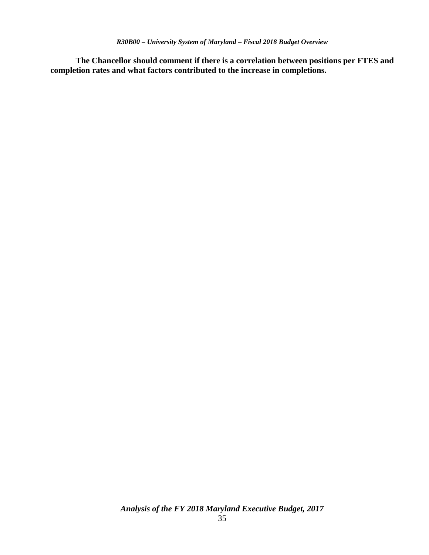**The Chancellor should comment if there is a correlation between positions per FTES and completion rates and what factors contributed to the increase in completions.**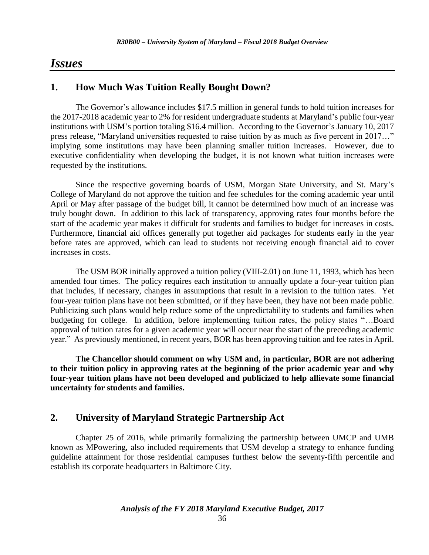### *Issues*

### **1. How Much Was Tuition Really Bought Down?**

The Governor's allowance includes \$17.5 million in general funds to hold tuition increases for the 2017-2018 academic year to 2% for resident undergraduate students at Maryland's public four-year institutions with USM's portion totaling \$16.4 million. According to the Governor's January 10, 2017 press release, "Maryland universities requested to raise tuition by as much as five percent in 2017…" implying some institutions may have been planning smaller tuition increases. However, due to executive confidentiality when developing the budget, it is not known what tuition increases were requested by the institutions.

Since the respective governing boards of USM, Morgan State University, and St. Mary's College of Maryland do not approve the tuition and fee schedules for the coming academic year until April or May after passage of the budget bill, it cannot be determined how much of an increase was truly bought down. In addition to this lack of transparency, approving rates four months before the start of the academic year makes it difficult for students and families to budget for increases in costs. Furthermore, financial aid offices generally put together aid packages for students early in the year before rates are approved, which can lead to students not receiving enough financial aid to cover increases in costs.

The USM BOR initially approved a tuition policy (VIII-2.01) on June 11, 1993, which has been amended four times. The policy requires each institution to annually update a four-year tuition plan that includes, if necessary, changes in assumptions that result in a revision to the tuition rates. Yet four-year tuition plans have not been submitted, or if they have been, they have not been made public. Publicizing such plans would help reduce some of the unpredictability to students and families when budgeting for college. In addition, before implementing tuition rates, the policy states "…Board approval of tuition rates for a given academic year will occur near the start of the preceding academic year." As previously mentioned, in recent years, BOR has been approving tuition and fee rates in April.

**The Chancellor should comment on why USM and, in particular, BOR are not adhering to their tuition policy in approving rates at the beginning of the prior academic year and why four-year tuition plans have not been developed and publicized to help allievate some financial uncertainty for students and families.** 

### **2. University of Maryland Strategic Partnership Act**

Chapter 25 of 2016, while primarily formalizing the partnership between UMCP and UMB known as MPowering, also included requirements that USM develop a strategy to enhance funding guideline attainment for those residential campuses furthest below the seventy-fifth percentile and establish its corporate headquarters in Baltimore City.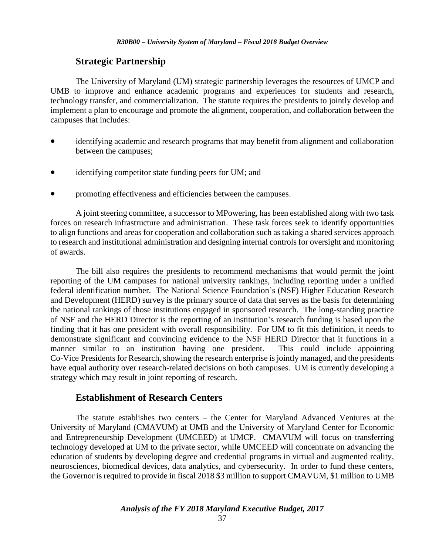### **Strategic Partnership**

The University of Maryland (UM) strategic partnership leverages the resources of UMCP and UMB to improve and enhance academic programs and experiences for students and research, technology transfer, and commercialization. The statute requires the presidents to jointly develop and implement a plan to encourage and promote the alignment, cooperation, and collaboration between the campuses that includes:

- identifying academic and research programs that may benefit from alignment and collaboration between the campuses;
- identifying competitor state funding peers for UM; and
- promoting effectiveness and efficiencies between the campuses.

A joint steering committee, a successor to MPowering, has been established along with two task forces on research infrastructure and administration. These task forces seek to identify opportunities to align functions and areas for cooperation and collaboration such as taking a shared services approach to research and institutional administration and designing internal controls for oversight and monitoring of awards.

The bill also requires the presidents to recommend mechanisms that would permit the joint reporting of the UM campuses for national university rankings, including reporting under a unified federal identification number. The National Science Foundation's (NSF) Higher Education Research and Development (HERD) survey is the primary source of data that serves as the basis for determining the national rankings of those institutions engaged in sponsored research. The long-standing practice of NSF and the HERD Director is the reporting of an institution's research funding is based upon the finding that it has one president with overall responsibility. For UM to fit this definition, it needs to demonstrate significant and convincing evidence to the NSF HERD Director that it functions in a manner similar to an institution having one president. This could include appointing Co-Vice Presidents for Research, showing the research enterprise is jointly managed, and the presidents have equal authority over research-related decisions on both campuses. UM is currently developing a strategy which may result in joint reporting of research.

### **Establishment of Research Centers**

The statute establishes two centers – the Center for Maryland Advanced Ventures at the University of Maryland (CMAVUM) at UMB and the University of Maryland Center for Economic and Entrepreneurship Development (UMCEED) at UMCP. CMAVUM will focus on transferring technology developed at UM to the private sector, while UMCEED will concentrate on advancing the education of students by developing degree and credential programs in virtual and augmented reality, neurosciences, biomedical devices, data analytics, and cybersecurity. In order to fund these centers, the Governor is required to provide in fiscal 2018 \$3 million to support CMAVUM, \$1 million to UMB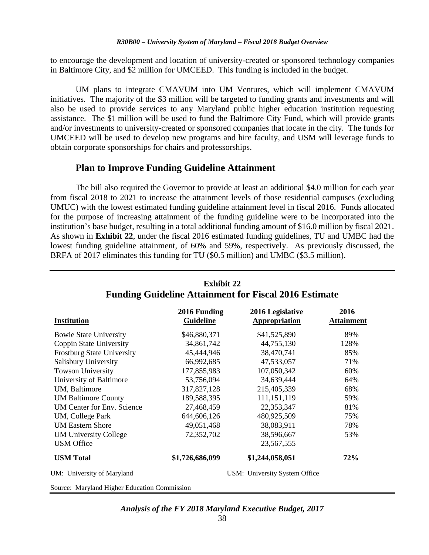to encourage the development and location of university-created or sponsored technology companies in Baltimore City, and \$2 million for UMCEED. This funding is included in the budget.

UM plans to integrate CMAVUM into UM Ventures, which will implement CMAVUM initiatives. The majority of the \$3 million will be targeted to funding grants and investments and will also be used to provide services to any Maryland public higher education institution requesting assistance. The \$1 million will be used to fund the Baltimore City Fund, which will provide grants and/or investments to university-created or sponsored companies that locate in the city. The funds for UMCEED will be used to develop new programs and hire faculty, and USM will leverage funds to obtain corporate sponsorships for chairs and professorships.

### **Plan to Improve Funding Guideline Attainment**

The bill also required the Governor to provide at least an additional \$4.0 million for each year from fiscal 2018 to 2021 to increase the attainment levels of those residential campuses (excluding UMUC) with the lowest estimated funding guideline attainment level in fiscal 2016. Funds allocated for the purpose of increasing attainment of the funding guideline were to be incorporated into the institution's base budget, resulting in a total additional funding amount of \$16.0 million by fiscal 2021. As shown in **Exhibit 22**, under the fiscal 2016 estimated funding guidelines, TU and UMBC had the lowest funding guideline attainment, of 60% and 59%, respectively. As previously discussed, the BRFA of 2017 eliminates this funding for TU (\$0.5 million) and UMBC (\$3.5 million).

| <b>Institution</b>                | 2016 Funding<br><b>Guideline</b> | 2016 Legislative<br><b>Appropriation</b> | 2016<br><b>Attainment</b> |
|-----------------------------------|----------------------------------|------------------------------------------|---------------------------|
| <b>Bowie State University</b>     | \$46,880,371                     | \$41,525,890                             | 89%                       |
| Coppin State University           | 34,861,742                       | 44,755,130                               | 128%                      |
| <b>Frostburg State University</b> | 45,444,946                       | 38,470,741                               | 85%                       |
| Salisbury University              | 66,992,685                       | 47,533,057                               | 71%                       |
| <b>Towson University</b>          | 177,855,983                      | 107,050,342                              | 60%                       |
| University of Baltimore           | 53,756,094                       | 34,639,444                               | 64%                       |
| UM, Baltimore                     | 317,827,128                      | 215,405,339                              | 68%                       |
| <b>UM Baltimore County</b>        | 189,588,395                      | 111,151,119                              | 59%                       |
| <b>UM Center for Env. Science</b> | 27,468,459                       | 22,353,347                               | 81%                       |
| UM, College Park                  | 644,606,126                      | 480,925,509                              | 75%                       |
| <b>UM Eastern Shore</b>           | 49,051,468                       | 38,083,911                               | 78%                       |
| <b>UM University College</b>      | 72,352,702                       | 38,596,667                               | 53%                       |
| <b>USM</b> Office                 |                                  | 23,567,555                               |                           |
| <b>USM Total</b>                  | \$1,726,686,099                  | \$1,244,058,051                          | 72%                       |
| UM: University of Maryland        |                                  | USM: University System Office            |                           |

### **Exhibit 22 Funding Guideline Attainment for Fiscal 2016 Estimate**

Source: Maryland Higher Education Commission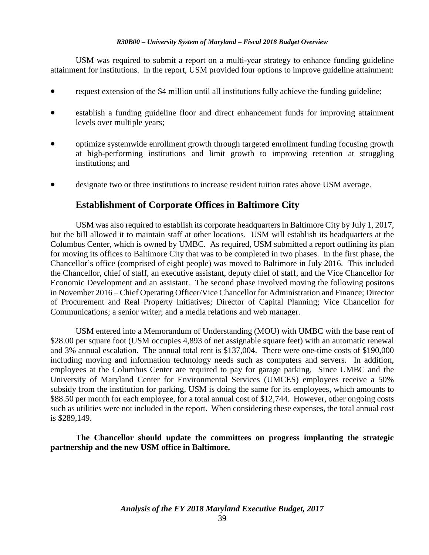USM was required to submit a report on a multi-year strategy to enhance funding guideline attainment for institutions. In the report, USM provided four options to improve guideline attainment:

- request extension of the \$4 million until all institutions fully achieve the funding guideline;
- establish a funding guideline floor and direct enhancement funds for improving attainment levels over multiple years;
- optimize systemwide enrollment growth through targeted enrollment funding focusing growth at high-performing institutions and limit growth to improving retention at struggling institutions; and
- designate two or three institutions to increase resident tuition rates above USM average.

### **Establishment of Corporate Offices in Baltimore City**

USM was also required to establish its corporate headquarters in Baltimore City by July 1, 2017, but the bill allowed it to maintain staff at other locations. USM will establish its headquarters at the Columbus Center, which is owned by UMBC. As required, USM submitted a report outlining its plan for moving its offices to Baltimore City that was to be completed in two phases. In the first phase, the Chancellor's office (comprised of eight people) was moved to Baltimore in July 2016. This included the Chancellor, chief of staff, an executive assistant, deputy chief of staff, and the Vice Chancellor for Economic Development and an assistant. The second phase involved moving the following positons in November 2016 – Chief Operating Officer/Vice Chancellor for Administration and Finance; Director of Procurement and Real Property Initiatives; Director of Capital Planning; Vice Chancellor for Communications; a senior writer; and a media relations and web manager.

USM entered into a Memorandum of Understanding (MOU) with UMBC with the base rent of \$28.00 per square foot (USM occupies 4,893 of net assignable square feet) with an automatic renewal and 3% annual escalation. The annual total rent is \$137,004. There were one-time costs of \$190,000 including moving and information technology needs such as computers and servers. In addition, employees at the Columbus Center are required to pay for garage parking. Since UMBC and the University of Maryland Center for Environmental Services (UMCES) employees receive a 50% subsidy from the institution for parking, USM is doing the same for its employees, which amounts to \$88.50 per month for each employee, for a total annual cost of \$12,744. However, other ongoing costs such as utilities were not included in the report. When considering these expenses, the total annual cost is \$289,149.

**The Chancellor should update the committees on progress implanting the strategic partnership and the new USM office in Baltimore.**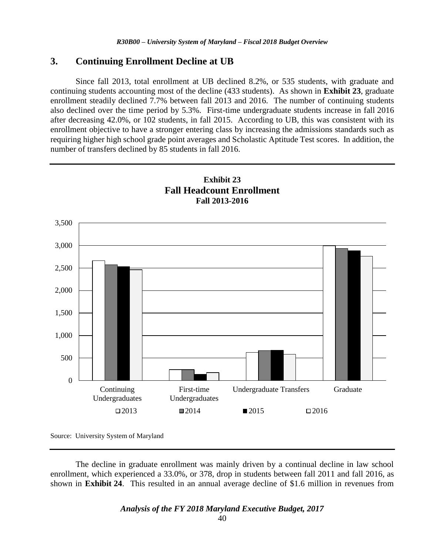#### **3. Continuing Enrollment Decline at UB**

Since fall 2013, total enrollment at UB declined 8.2%, or 535 students, with graduate and continuing students accounting most of the decline (433 students). As shown in **Exhibit 23**, graduate enrollment steadily declined 7.7% between fall 2013 and 2016. The number of continuing students also declined over the time period by 5.3%. First-time undergraduate students increase in fall 2016 after decreasing 42.0%, or 102 students, in fall 2015. According to UB, this was consistent with its enrollment objective to have a stronger entering class by increasing the admissions standards such as requiring higher high school grade point averages and Scholastic Aptitude Test scores. In addition, the number of transfers declined by 85 students in fall 2016.



Source: University System of Maryland

The decline in graduate enrollment was mainly driven by a continual decline in law school enrollment, which experienced a 33.0%, or 378, drop in students between fall 2011 and fall 2016, as shown in **Exhibit 24**. This resulted in an annual average decline of \$1.6 million in revenues from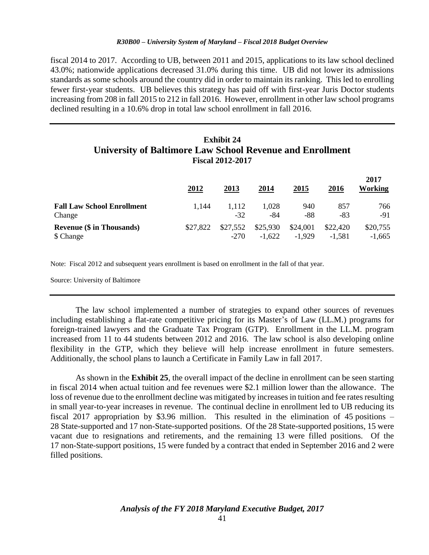fiscal 2014 to 2017. According to UB, between 2011 and 2015, applications to its law school declined 43.0%; nationwide applications decreased 31.0% during this time. UB did not lower its admissions standards as some schools around the country did in order to maintain its ranking. This led to enrolling fewer first-year students. UB believes this strategy has paid off with first-year Juris Doctor students increasing from 208 in fall 2015 to 212 in fall 2016. However, enrollment in other law school programs declined resulting in a 10.6% drop in total law school enrollment in fall 2016.

### **Exhibit 24 University of Baltimore Law School Revenue and Enrollment Fiscal 2012-2017**

|                                   | 2012     | 2013     | 2014     | 2015     | 2016     | 2017<br>Working |
|-----------------------------------|----------|----------|----------|----------|----------|-----------------|
| <b>Fall Law School Enrollment</b> | 1.144    | 1.112    | 1,028    | 940      | 857      | 766             |
| Change                            |          | $-32$    | -84      | -88      | -83      | -91             |
| <b>Revenue (\$ in Thousands)</b>  | \$27,822 | \$27,552 | \$25,930 | \$24,001 | \$22,420 | \$20,755        |
| \$ Change                         |          | $-270$   | $-1,622$ | $-1.929$ | $-1.581$ | $-1.665$        |

Note: Fiscal 2012 and subsequent years enrollment is based on enrollment in the fall of that year.

Source: University of Baltimore

The law school implemented a number of strategies to expand other sources of revenues including establishing a flat-rate competitive pricing for its Master's of Law (LL.M.) programs for foreign-trained lawyers and the Graduate Tax Program (GTP). Enrollment in the LL.M. program increased from 11 to 44 students between 2012 and 2016. The law school is also developing online flexibility in the GTP, which they believe will help increase enrollment in future semesters. Additionally, the school plans to launch a Certificate in Family Law in fall 2017.

As shown in the **Exhibit 25**, the overall impact of the decline in enrollment can be seen starting in fiscal 2014 when actual tuition and fee revenues were \$2.1 million lower than the allowance. The loss of revenue due to the enrollment decline was mitigated by increases in tuition and fee rates resulting in small year-to-year increases in revenue. The continual decline in enrollment led to UB reducing its fiscal 2017 appropriation by \$3.96 million. This resulted in the elimination of 45 positions – 28 State-supported and 17 non-State-supported positions. Of the 28 State-supported positions, 15 were vacant due to resignations and retirements, and the remaining 13 were filled positions. Of the 17 non-State-support positions, 15 were funded by a contract that ended in September 2016 and 2 were filled positions.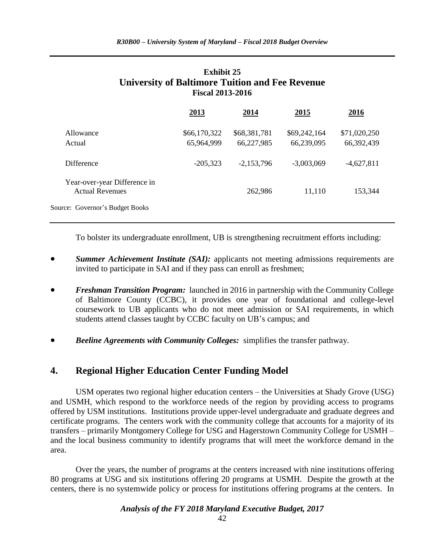### **Exhibit 25 University of Baltimore Tuition and Fee Revenue Fiscal 2013-2016**

|                                                        | 2013                       | 2014                       | 2015                       | 2016                       |
|--------------------------------------------------------|----------------------------|----------------------------|----------------------------|----------------------------|
| Allowance<br>Actual                                    | \$66,170,322<br>65,964,999 | \$68,381,781<br>66,227,985 | \$69,242,164<br>66,239,095 | \$71,020,250<br>66,392,439 |
| <b>Difference</b>                                      | $-205,323$                 | $-2,153,796$               | $-3,003,069$               | $-4,627,811$               |
| Year-over-year Difference in<br><b>Actual Revenues</b> |                            | 262,986                    | 11,110                     | 153,344                    |
| Source: Governor's Budget Books                        |                            |                            |                            |                            |

To bolster its undergraduate enrollment, UB is strengthening recruitment efforts including:

- *Summer Achievement Institute (SAI):* applicants not meeting admissions requirements are invited to participate in SAI and if they pass can enroll as freshmen;
- *Freshman Transition Program:* launched in 2016 in partnership with the Community College of Baltimore County (CCBC), it provides one year of foundational and college-level coursework to UB applicants who do not meet admission or SAI requirements, in which students attend classes taught by CCBC faculty on UB's campus; and
- *Beeline Agreements with Community Colleges:* simplifies the transfer pathway.

### **4. Regional Higher Education Center Funding Model**

USM operates two regional higher education centers – the Universities at Shady Grove (USG) and USMH, which respond to the workforce needs of the region by providing access to programs offered by USM institutions. Institutions provide upper-level undergraduate and graduate degrees and certificate programs. The centers work with the community college that accounts for a majority of its transfers – primarily Montgomery College for USG and Hagerstown Community College for USMH – and the local business community to identify programs that will meet the workforce demand in the area.

Over the years, the number of programs at the centers increased with nine institutions offering 80 programs at USG and six institutions offering 20 programs at USMH. Despite the growth at the centers, there is no systemwide policy or process for institutions offering programs at the centers. In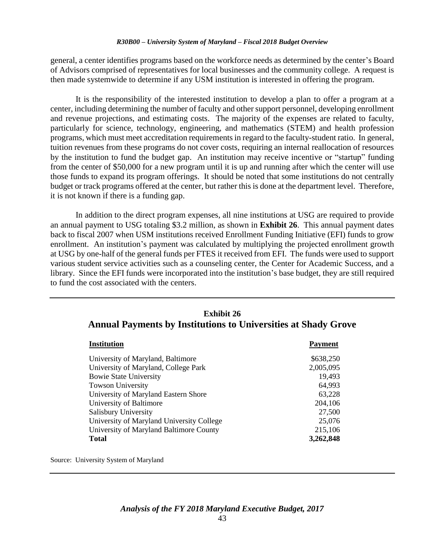general, a center identifies programs based on the workforce needs as determined by the center's Board of Advisors comprised of representatives for local businesses and the community college. A request is then made systemwide to determine if any USM institution is interested in offering the program.

It is the responsibility of the interested institution to develop a plan to offer a program at a center, including determining the number of faculty and other support personnel, developing enrollment and revenue projections, and estimating costs. The majority of the expenses are related to faculty, particularly for science, technology, engineering, and mathematics (STEM) and health profession programs, which must meet accreditation requirements in regard to the faculty-student ratio. In general, tuition revenues from these programs do not cover costs, requiring an internal reallocation of resources by the institution to fund the budget gap. An institution may receive incentive or "startup" funding from the center of \$50,000 for a new program until it is up and running after which the center will use those funds to expand its program offerings. It should be noted that some institutions do not centrally budget or track programs offered at the center, but rather this is done at the department level. Therefore, it is not known if there is a funding gap.

In addition to the direct program expenses, all nine institutions at USG are required to provide an annual payment to USG totaling \$3.2 million, as shown in **Exhibit 26**. This annual payment dates back to fiscal 2007 when USM institutions received Enrollment Funding Initiative (EFI) funds to grow enrollment. An institution's payment was calculated by multiplying the projected enrollment growth at USG by one-half of the general funds per FTES it received from EFI. The funds were used to support various student service activities such as a counseling center, the Center for Academic Success, and a library. Since the EFI funds were incorporated into the institution's base budget, they are still required to fund the cost associated with the centers.

| Exhibit 26                                                            |                |  |  |  |  |  |
|-----------------------------------------------------------------------|----------------|--|--|--|--|--|
| <b>Annual Payments by Institutions to Universities at Shady Grove</b> |                |  |  |  |  |  |
| <b>Institution</b>                                                    | <b>Payment</b> |  |  |  |  |  |
| University of Maryland, Baltimore                                     | \$638,250      |  |  |  |  |  |
| University of Maryland, College Park                                  | 2,005,095      |  |  |  |  |  |
| <b>Bowie State University</b>                                         | 19,493         |  |  |  |  |  |
| <b>Towson University</b>                                              | 64,993         |  |  |  |  |  |
| University of Maryland Eastern Shore                                  | 63,228         |  |  |  |  |  |
| University of Baltimore                                               | 204,106        |  |  |  |  |  |
| <b>Salisbury University</b>                                           | 27,500         |  |  |  |  |  |
| University of Maryland University College                             | 25,076         |  |  |  |  |  |
| University of Maryland Baltimore County                               | 215,106        |  |  |  |  |  |
| <b>Total</b>                                                          | 3,262,848      |  |  |  |  |  |

# **Exhibit 26**

Source: University System of Maryland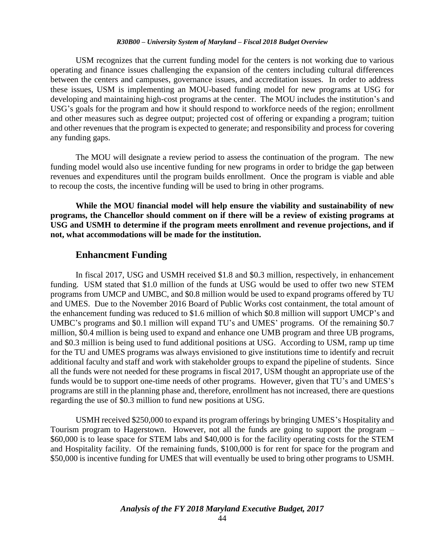USM recognizes that the current funding model for the centers is not working due to various operating and finance issues challenging the expansion of the centers including cultural differences between the centers and campuses, governance issues, and accreditation issues. In order to address these issues, USM is implementing an MOU-based funding model for new programs at USG for developing and maintaining high-cost programs at the center. The MOU includes the institution's and USG's goals for the program and how it should respond to workforce needs of the region; enrollment and other measures such as degree output; projected cost of offering or expanding a program; tuition and other revenues that the program is expected to generate; and responsibility and process for covering any funding gaps.

The MOU will designate a review period to assess the continuation of the program. The new funding model would also use incentive funding for new programs in order to bridge the gap between revenues and expenditures until the program builds enrollment. Once the program is viable and able to recoup the costs, the incentive funding will be used to bring in other programs.

**While the MOU financial model will help ensure the viability and sustainability of new programs, the Chancellor should comment on if there will be a review of existing programs at USG and USMH to determine if the program meets enrollment and revenue projections, and if not, what accommodations will be made for the institution.**

#### **Enhancment Funding**

In fiscal 2017, USG and USMH received \$1.8 and \$0.3 million, respectively, in enhancement funding. USM stated that \$1.0 million of the funds at USG would be used to offer two new STEM programs from UMCP and UMBC, and \$0.8 million would be used to expand programs offered by TU and UMES. Due to the November 2016 Board of Public Works cost containment, the total amount of the enhancement funding was reduced to \$1.6 million of which \$0.8 million will support UMCP's and UMBC's programs and \$0.1 million will expand TU's and UMES' programs. Of the remaining \$0.7 million, \$0.4 million is being used to expand and enhance one UMB program and three UB programs, and \$0.3 million is being used to fund additional positions at USG. According to USM, ramp up time for the TU and UMES programs was always envisioned to give institutions time to identify and recruit additional faculty and staff and work with stakeholder groups to expand the pipeline of students. Since all the funds were not needed for these programs in fiscal 2017, USM thought an appropriate use of the funds would be to support one-time needs of other programs. However, given that TU's and UMES's programs are still in the planning phase and, therefore, enrollment has not increased, there are questions regarding the use of \$0.3 million to fund new positions at USG.

USMH received \$250,000 to expand its program offerings by bringing UMES's Hospitality and Tourism program to Hagerstown. However, not all the funds are going to support the program – \$60,000 is to lease space for STEM labs and \$40,000 is for the facility operating costs for the STEM and Hospitality facility. Of the remaining funds, \$100,000 is for rent for space for the program and \$50,000 is incentive funding for UMES that will eventually be used to bring other programs to USMH.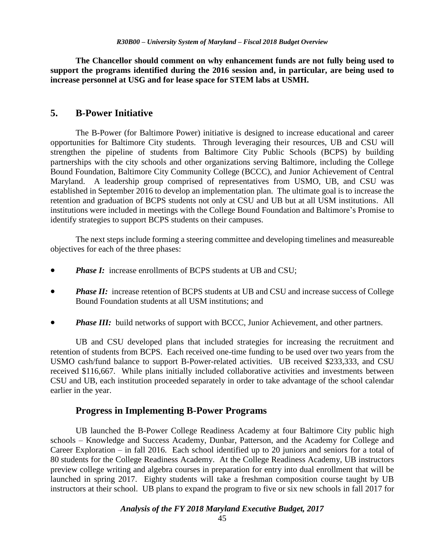**The Chancellor should comment on why enhancement funds are not fully being used to support the programs identified during the 2016 session and, in particular, are being used to increase personnel at USG and for lease space for STEM labs at USMH.**

### **5. B-Power Initiative**

The B-Power (for Baltimore Power) initiative is designed to increase educational and career opportunities for Baltimore City students. Through leveraging their resources, UB and CSU will strengthen the pipeline of students from Baltimore City Public Schools (BCPS) by building partnerships with the city schools and other organizations serving Baltimore, including the College Bound Foundation, Baltimore City Community College (BCCC), and Junior Achievement of Central Maryland. A leadership group comprised of representatives from USMO, UB, and CSU was established in September 2016 to develop an implementation plan. The ultimate goal is to increase the retention and graduation of BCPS students not only at CSU and UB but at all USM institutions. All institutions were included in meetings with the College Bound Foundation and Baltimore's Promise to identify strategies to support BCPS students on their campuses.

The next steps include forming a steering committee and developing timelines and measureable objectives for each of the three phases:

- *Phase I:* increase enrollments of BCPS students at UB and CSU;
- *Phase II:* increase retention of BCPS students at UB and CSU and increase success of College Bound Foundation students at all USM institutions; and
- *Phase III:* build networks of support with BCCC, Junior Achievement, and other partners.

UB and CSU developed plans that included strategies for increasing the recruitment and retention of students from BCPS. Each received one-time funding to be used over two years from the USMO cash/fund balance to support B-Power-related activities. UB received \$233,333, and CSU received \$116,667. While plans initially included collaborative activities and investments between CSU and UB, each institution proceeded separately in order to take advantage of the school calendar earlier in the year.

#### **Progress in Implementing B-Power Programs**

UB launched the B-Power College Readiness Academy at four Baltimore City public high schools – Knowledge and Success Academy, Dunbar, Patterson, and the Academy for College and Career Exploration – in fall 2016. Each school identified up to 20 juniors and seniors for a total of 80 students for the College Readiness Academy. At the College Readiness Academy, UB instructors preview college writing and algebra courses in preparation for entry into dual enrollment that will be launched in spring 2017. Eighty students will take a freshman composition course taught by UB instructors at their school. UB plans to expand the program to five or six new schools in fall 2017 for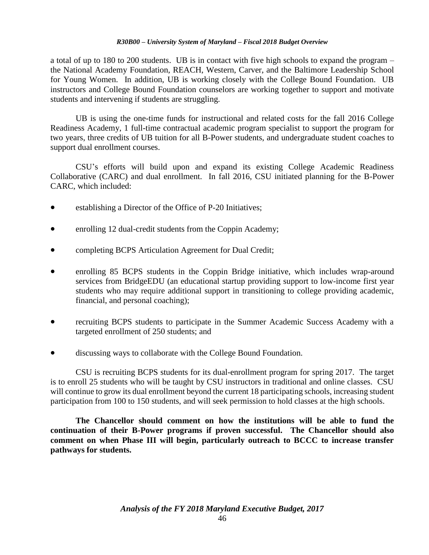a total of up to 180 to 200 students. UB is in contact with five high schools to expand the program – the National Academy Foundation, REACH, Western, Carver, and the Baltimore Leadership School for Young Women. In addition, UB is working closely with the College Bound Foundation. UB instructors and College Bound Foundation counselors are working together to support and motivate students and intervening if students are struggling.

UB is using the one-time funds for instructional and related costs for the fall 2016 College Readiness Academy, 1 full-time contractual academic program specialist to support the program for two years, three credits of UB tuition for all B-Power students, and undergraduate student coaches to support dual enrollment courses.

CSU's efforts will build upon and expand its existing College Academic Readiness Collaborative (CARC) and dual enrollment. In fall 2016, CSU initiated planning for the B-Power CARC, which included:

- establishing a Director of the Office of P-20 Initiatives;
- enrolling 12 dual-credit students from the Coppin Academy;
- completing BCPS Articulation Agreement for Dual Credit;
- enrolling 85 BCPS students in the Coppin Bridge initiative, which includes wrap-around services from BridgeEDU (an educational startup providing support to low-income first year students who may require additional support in transitioning to college providing academic, financial, and personal coaching);
- recruiting BCPS students to participate in the Summer Academic Success Academy with a targeted enrollment of 250 students; and
- discussing ways to collaborate with the College Bound Foundation.

CSU is recruiting BCPS students for its dual-enrollment program for spring 2017. The target is to enroll 25 students who will be taught by CSU instructors in traditional and online classes. CSU will continue to grow its dual enrollment beyond the current 18 participating schools, increasing student participation from 100 to 150 students, and will seek permission to hold classes at the high schools.

**The Chancellor should comment on how the institutions will be able to fund the continuation of their B-Power programs if proven successful. The Chancellor should also comment on when Phase III will begin, particularly outreach to BCCC to increase transfer pathways for students.**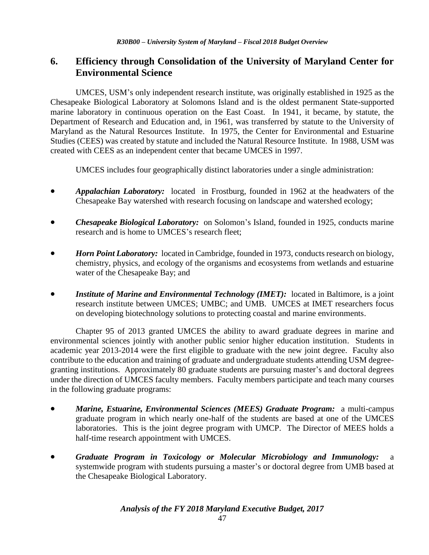### **6. Efficiency through Consolidation of the University of Maryland Center for Environmental Science**

UMCES, USM's only independent research institute, was originally established in 1925 as the Chesapeake Biological Laboratory at Solomons Island and is the oldest permanent State-supported marine laboratory in continuous operation on the East Coast. In 1941, it became, by statute, the Department of Research and Education and, in 1961, was transferred by statute to the University of Maryland as the Natural Resources Institute. In 1975, the Center for Environmental and Estuarine Studies (CEES) was created by statute and included the Natural Resource Institute. In 1988, USM was created with CEES as an independent center that became UMCES in 1997.

UMCES includes four geographically distinct laboratories under a single administration:

- *Appalachian Laboratory:* located in Frostburg, founded in 1962 at the headwaters of the Chesapeake Bay watershed with research focusing on landscape and watershed ecology;
- *Chesapeake Biological Laboratory:* on Solomon's Island, founded in 1925, conducts marine research and is home to UMCES's research fleet;
- *Horn Point Laboratory:* located in Cambridge, founded in 1973, conducts research on biology, chemistry, physics, and ecology of the organisms and ecosystems from wetlands and estuarine water of the Chesapeake Bay; and
- *Institute of Marine and Environmental Technology (IMET):* located in Baltimore, is a joint research institute between UMCES; UMBC; and UMB. UMCES at IMET researchers focus on developing biotechnology solutions to protecting coastal and marine environments.

Chapter 95 of 2013 granted UMCES the ability to award graduate degrees in marine and environmental sciences jointly with another public senior higher education institution. Students in academic year 2013-2014 were the first eligible to graduate with the new joint degree. Faculty also contribute to the education and training of graduate and undergraduate students attending USM degreegranting institutions. Approximately 80 graduate students are pursuing master's and doctoral degrees under the direction of UMCES faculty members. Faculty members participate and teach many courses in the following graduate programs:

- *Marine, Estuarine, Environmental Sciences (MEES) Graduate Program:* a multi-campus graduate program in which nearly one-half of the students are based at one of the UMCES laboratories. This is the joint degree program with UMCP. The Director of MEES holds a half-time research appointment with UMCES.
- *Graduate Program in Toxicology or Molecular Microbiology and Immunology:* a systemwide program with students pursuing a master's or doctoral degree from UMB based at the Chesapeake Biological Laboratory.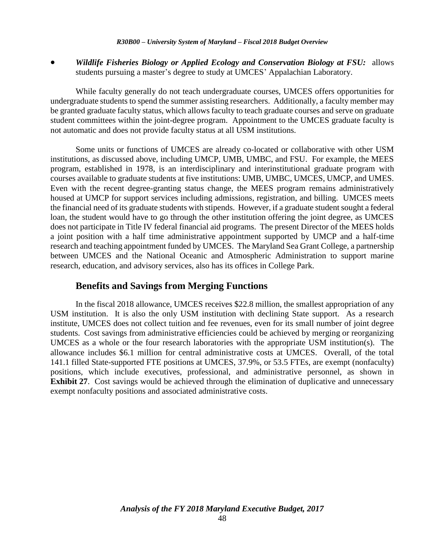*Wildlife Fisheries Biology or Applied Ecology and Conservation Biology at FSU:* allows students pursuing a master's degree to study at UMCES' Appalachian Laboratory.

While faculty generally do not teach undergraduate courses, UMCES offers opportunities for undergraduate students to spend the summer assisting researchers. Additionally, a faculty member may be granted graduate faculty status, which allows faculty to teach graduate courses and serve on graduate student committees within the joint-degree program. Appointment to the UMCES graduate faculty is not automatic and does not provide faculty status at all USM institutions.

Some units or functions of UMCES are already co-located or collaborative with other USM institutions, as discussed above, including UMCP, UMB, UMBC, and FSU. For example, the MEES program, established in 1978, is an interdisciplinary and interinstitutional graduate program with courses available to graduate students at five institutions: UMB, UMBC, UMCES, UMCP, and UMES. Even with the recent degree-granting status change, the MEES program remains administratively housed at UMCP for support services including admissions, registration, and billing. UMCES meets the financial need of its graduate students with stipends. However, if a graduate student sought a federal loan, the student would have to go through the other institution offering the joint degree, as UMCES does not participate in Title IV federal financial aid programs. The present Director of the MEES holds a joint position with a half time administrative appointment supported by UMCP and a half-time research and teaching appointment funded by UMCES. The Maryland Sea Grant College, a partnership between UMCES and the National Oceanic and Atmospheric Administration to support marine research, education, and advisory services, also has its offices in College Park.

### **Benefits and Savings from Merging Functions**

In the fiscal 2018 allowance, UMCES receives \$22.8 million, the smallest appropriation of any USM institution. It is also the only USM institution with declining State support. As a research institute, UMCES does not collect tuition and fee revenues, even for its small number of joint degree students. Cost savings from administrative efficiencies could be achieved by merging or reorganizing UMCES as a whole or the four research laboratories with the appropriate USM institution(s). The allowance includes \$6.1 million for central administrative costs at UMCES. Overall, of the total 141.1 filled State-supported FTE positions at UMCES, 37.9%, or 53.5 FTEs, are exempt (nonfaculty) positions, which include executives, professional, and administrative personnel, as shown in **Exhibit 27**. Cost savings would be achieved through the elimination of duplicative and unnecessary exempt nonfaculty positions and associated administrative costs.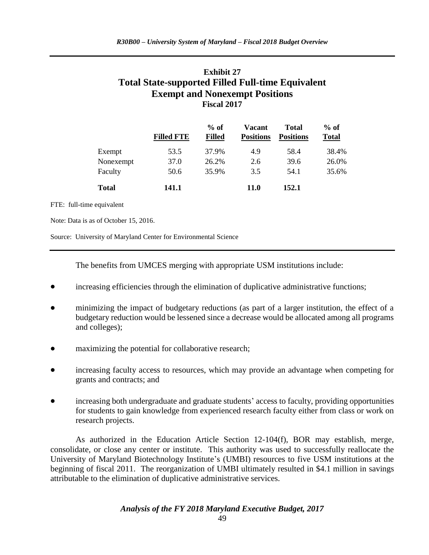### **Exhibit 27 Total State-supported Filled Full-time Equivalent Exempt and Nonexempt Positions Fiscal 2017**

|              | <b>Filled FTE</b> | $%$ of<br><b>Filled</b> | Vacant<br><b>Positions</b> | <b>Total</b><br><b>Positions</b> | $%$ of<br><b>Total</b> |
|--------------|-------------------|-------------------------|----------------------------|----------------------------------|------------------------|
| Exempt       | 53.5              | 37.9%                   | 4.9                        | 58.4                             | 38.4%                  |
| Nonexempt    | 37.0              | 26.2%                   | 2.6                        | 39.6                             | 26.0%                  |
| Faculty      | 50.6              | 35.9%                   | 3.5                        | 54.1                             | 35.6%                  |
| <b>Total</b> | 141.1             |                         | 11.0                       | 152.1                            |                        |

FTE: full-time equivalent

Note: Data is as of October 15, 2016.

Source: University of Maryland Center for Environmental Science

The benefits from UMCES merging with appropriate USM institutions include:

- increasing efficiencies through the elimination of duplicative administrative functions;
- minimizing the impact of budgetary reductions (as part of a larger institution, the effect of a budgetary reduction would be lessened since a decrease would be allocated among all programs and colleges);
- maximizing the potential for collaborative research;
- increasing faculty access to resources, which may provide an advantage when competing for grants and contracts; and
- increasing both undergraduate and graduate students' access to faculty, providing opportunities for students to gain knowledge from experienced research faculty either from class or work on research projects.

As authorized in the Education Article Section 12-104(f), BOR may establish, merge, consolidate, or close any center or institute. This authority was used to successfully reallocate the University of Maryland Biotechnology Institute's (UMBI) resources to five USM institutions at the beginning of fiscal 2011. The reorganization of UMBI ultimately resulted in \$4.1 million in savings attributable to the elimination of duplicative administrative services.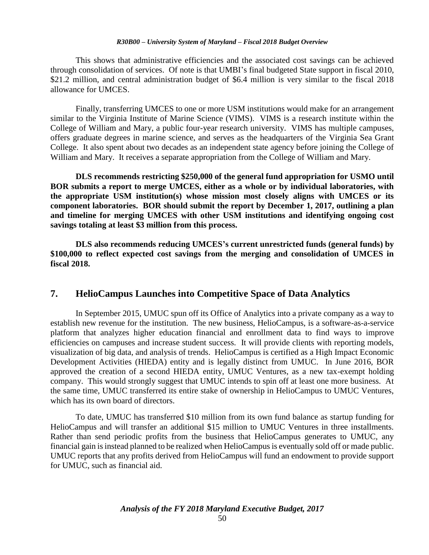This shows that administrative efficiencies and the associated cost savings can be achieved through consolidation of services. Of note is that UMBI's final budgeted State support in fiscal 2010, \$21.2 million, and central administration budget of \$6.4 million is very similar to the fiscal 2018 allowance for UMCES.

Finally, transferring UMCES to one or more USM institutions would make for an arrangement similar to the Virginia Institute of Marine Science (VIMS). VIMS is a research institute within the College of William and Mary, a public four-year research university. VIMS has multiple campuses, offers graduate degrees in marine science, and serves as the headquarters of the Virginia Sea Grant College. It also spent about two decades as an independent state agency before joining the College of William and Mary. It receives a separate appropriation from the College of William and Mary.

**DLS recommends restricting \$250,000 of the general fund appropriation for USMO until BOR submits a report to merge UMCES, either as a whole or by individual laboratories, with the appropriate USM institution(s) whose mission most closely aligns with UMCES or its component laboratories. BOR should submit the report by December 1, 2017, outlining a plan and timeline for merging UMCES with other USM institutions and identifying ongoing cost savings totaling at least \$3 million from this process.** 

**DLS also recommends reducing UMCES's current unrestricted funds (general funds) by \$100,000 to reflect expected cost savings from the merging and consolidation of UMCES in fiscal 2018.**

### **7. HelioCampus Launches into Competitive Space of Data Analytics**

In September 2015, UMUC spun off its Office of Analytics into a private company as a way to establish new revenue for the institution. The new business, HelioCampus, is a software-as-a-service platform that analyzes higher education financial and enrollment data to find ways to improve efficiencies on campuses and increase student success. It will provide clients with reporting models, visualization of big data, and analysis of trends. HelioCampus is certified as a High Impact Economic Development Activities (HIEDA) entity and is legally distinct from UMUC. In June 2016, BOR approved the creation of a second HIEDA entity, UMUC Ventures, as a new tax-exempt holding company. This would strongly suggest that UMUC intends to spin off at least one more business. At the same time, UMUC transferred its entire stake of ownership in HelioCampus to UMUC Ventures, which has its own board of directors.

To date, UMUC has transferred \$10 million from its own fund balance as startup funding for HelioCampus and will transfer an additional \$15 million to UMUC Ventures in three installments. Rather than send periodic profits from the business that HelioCampus generates to UMUC, any financial gain is instead planned to be realized when HelioCampus is eventually sold off or made public. UMUC reports that any profits derived from HelioCampus will fund an endowment to provide support for UMUC, such as financial aid.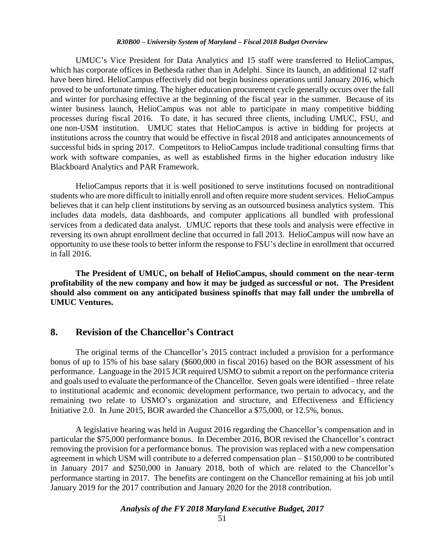UMUC's Vice President for Data Analytics and 15 staff were transferred to HelioCampus, which has corporate offices in Bethesda rather than in Adelphi. Since its launch, an additional 12 staff have been hired. HelioCampus effectively did not begin business operations until January 2016, which proved to be unfortunate timing. The higher education procurement cycle generally occurs over the fall and winter for purchasing effective at the beginning of the fiscal year in the summer. Because of its winter business launch, HelioCampus was not able to participate in many competitive bidding processes during fiscal 2016. To date, it has secured three clients, including UMUC, FSU, and one non-USM institution. UMUC states that HelioCampus is active in bidding for projects at institutions across the country that would be effective in fiscal 2018 and anticipates announcements of successful bids in spring 2017. Competitors to HelioCampus include traditional consulting firms that work with software companies, as well as established firms in the higher education industry like Blackboard Analytics and PAR Framework.

HelioCampus reports that it is well positioned to serve institutions focused on nontraditional students who are more difficult to initially enroll and often require more student services. HelioCampus believes that it can help client institutions by serving as an outsourced business analytics system. This includes data models, data dashboards, and computer applications all bundled with professional services from a dedicated data analyst. UMUC reports that these tools and analysis were effective in reversing its own abrupt enrollment decline that occurred in fall 2013. HelioCampus will now have an opportunity to use these tools to better inform the response to FSU's decline in enrollment that occurred in fall 2016.

**The President of UMUC, on behalf of HelioCampus, should comment on the near-term profitability of the new company and how it may be judged as successful or not. The President should also comment on any anticipated business spinoffs that may fall under the umbrella of UMUC Ventures.**

### **8. Revision of the Chancellor's Contract**

The original terms of the Chancellor's 2015 contract included a provision for a performance bonus of up to 15% of his base salary (\$600,000 in fiscal 2016) based on the BOR assessment of his performance. Language in the 2015 JCR required USMO to submit a report on the performance criteria and goals used to evaluate the performance of the Chancellor. Seven goals were identified – three relate to institutional academic and economic development performance, two pertain to advocacy, and the remaining two relate to USMO's organization and structure, and Effectiveness and Efficiency Initiative 2.0. In June 2015, BOR awarded the Chancellor a \$75,000, or 12.5%, bonus.

A legislative hearing was held in August 2016 regarding the Chancellor's compensation and in particular the \$75,000 performance bonus. In December 2016, BOR revised the Chancellor's contract removing the provision for a performance bonus. The provision was replaced with a new compensation agreement in which USM will contribute to a deferred compensation plan – \$150,000 to be contributed in January 2017 and \$250,000 in January 2018, both of which are related to the Chancellor's performance starting in 2017. The benefits are contingent on the Chancellor remaining at his job until January 2019 for the 2017 contribution and January 2020 for the 2018 contribution.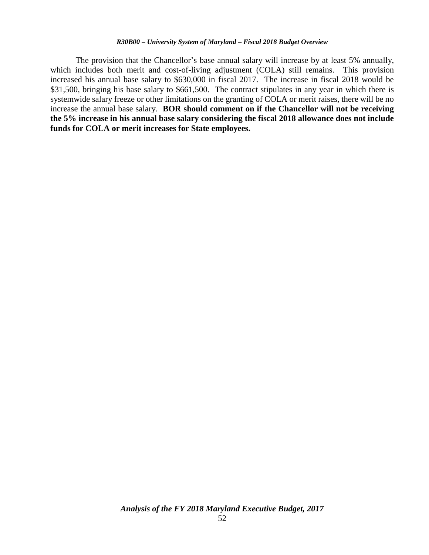The provision that the Chancellor's base annual salary will increase by at least 5% annually, which includes both merit and cost-of-living adjustment (COLA) still remains. This provision increased his annual base salary to \$630,000 in fiscal 2017. The increase in fiscal 2018 would be \$31,500, bringing his base salary to \$661,500. The contract stipulates in any year in which there is systemwide salary freeze or other limitations on the granting of COLA or merit raises, there will be no increase the annual base salary. **BOR should comment on if the Chancellor will not be receiving the 5% increase in his annual base salary considering the fiscal 2018 allowance does not include funds for COLA or merit increases for State employees.**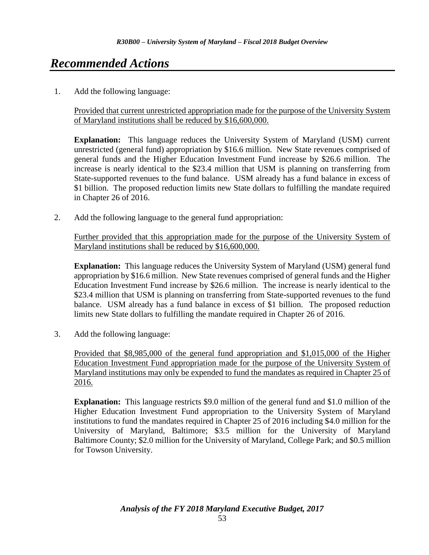# *Recommended Actions*

1. Add the following language:

Provided that current unrestricted appropriation made for the purpose of the University System of Maryland institutions shall be reduced by \$16,600,000.

**Explanation:** This language reduces the University System of Maryland (USM) current unrestricted (general fund) appropriation by \$16.6 million. New State revenues comprised of general funds and the Higher Education Investment Fund increase by \$26.6 million. The increase is nearly identical to the \$23.4 million that USM is planning on transferring from State-supported revenues to the fund balance. USM already has a fund balance in excess of \$1 billion. The proposed reduction limits new State dollars to fulfilling the mandate required in Chapter 26 of 2016.

2. Add the following language to the general fund appropriation:

Further provided that this appropriation made for the purpose of the University System of Maryland institutions shall be reduced by \$16,600,000.

**Explanation:** This language reduces the University System of Maryland (USM) general fund appropriation by \$16.6 million. New State revenues comprised of general funds and the Higher Education Investment Fund increase by \$26.6 million. The increase is nearly identical to the \$23.4 million that USM is planning on transferring from State-supported revenues to the fund balance. USM already has a fund balance in excess of \$1 billion. The proposed reduction limits new State dollars to fulfilling the mandate required in Chapter 26 of 2016.

3. Add the following language:

Provided that \$8,985,000 of the general fund appropriation and \$1,015,000 of the Higher Education Investment Fund appropriation made for the purpose of the University System of Maryland institutions may only be expended to fund the mandates as required in Chapter 25 of 2016.

**Explanation:** This language restricts \$9.0 million of the general fund and \$1.0 million of the Higher Education Investment Fund appropriation to the University System of Maryland institutions to fund the mandates required in Chapter 25 of 2016 including \$4.0 million for the University of Maryland, Baltimore; \$3.5 million for the University of Maryland Baltimore County; \$2.0 million for the University of Maryland, College Park; and \$0.5 million for Towson University.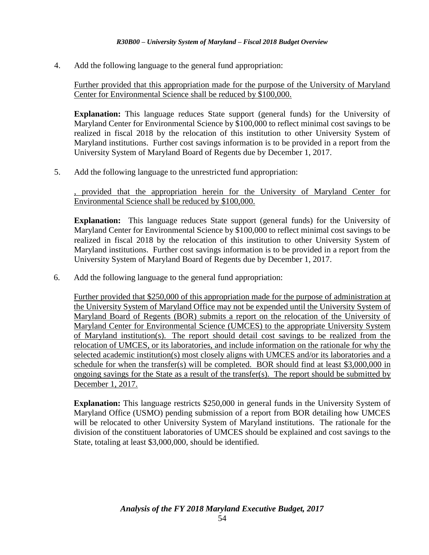4. Add the following language to the general fund appropriation:

Further provided that this appropriation made for the purpose of the University of Maryland Center for Environmental Science shall be reduced by \$100,000.

**Explanation:** This language reduces State support (general funds) for the University of Maryland Center for Environmental Science by \$100,000 to reflect minimal cost savings to be realized in fiscal 2018 by the relocation of this institution to other University System of Maryland institutions. Further cost savings information is to be provided in a report from the University System of Maryland Board of Regents due by December 1, 2017.

5. Add the following language to the unrestricted fund appropriation:

, provided that the appropriation herein for the University of Maryland Center for Environmental Science shall be reduced by \$100,000.

**Explanation:** This language reduces State support (general funds) for the University of Maryland Center for Environmental Science by \$100,000 to reflect minimal cost savings to be realized in fiscal 2018 by the relocation of this institution to other University System of Maryland institutions. Further cost savings information is to be provided in a report from the University System of Maryland Board of Regents due by December 1, 2017.

6. Add the following language to the general fund appropriation:

Further provided that \$250,000 of this appropriation made for the purpose of administration at the University System of Maryland Office may not be expended until the University System of Maryland Board of Regents (BOR) submits a report on the relocation of the University of Maryland Center for Environmental Science (UMCES) to the appropriate University System of Maryland institution(s). The report should detail cost savings to be realized from the relocation of UMCES, or its laboratories, and include information on the rationale for why the selected academic institution(s) most closely aligns with UMCES and/or its laboratories and a schedule for when the transfer(s) will be completed. BOR should find at least \$3,000,000 in ongoing savings for the State as a result of the transfer(s). The report should be submitted by December 1, 2017.

**Explanation:** This language restricts \$250,000 in general funds in the University System of Maryland Office (USMO) pending submission of a report from BOR detailing how UMCES will be relocated to other University System of Maryland institutions. The rationale for the division of the constituent laboratories of UMCES should be explained and cost savings to the State, totaling at least \$3,000,000, should be identified.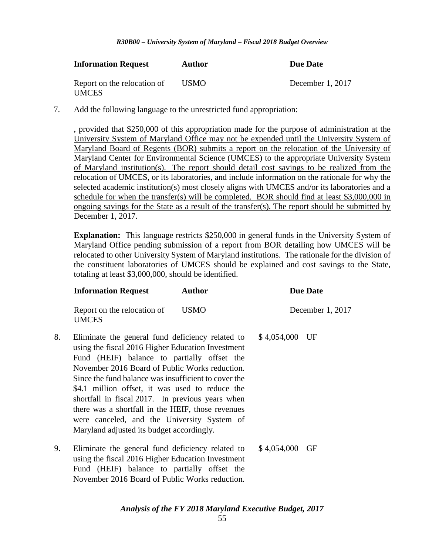| <b>Information Request</b>                  | Author | Due Date         |  |  |
|---------------------------------------------|--------|------------------|--|--|
| Report on the relocation of<br><b>UMCES</b> | USMO.  | December 1, 2017 |  |  |

7. Add the following language to the unrestricted fund appropriation:

, provided that \$250,000 of this appropriation made for the purpose of administration at the University System of Maryland Office may not be expended until the University System of Maryland Board of Regents (BOR) submits a report on the relocation of the University of Maryland Center for Environmental Science (UMCES) to the appropriate University System of Maryland institution(s). The report should detail cost savings to be realized from the relocation of UMCES, or its laboratories, and include information on the rationale for why the selected academic institution(s) most closely aligns with UMCES and/or its laboratories and a schedule for when the transfer(s) will be completed. BOR should find at least \$3,000,000 in ongoing savings for the State as a result of the transfer(s). The report should be submitted by December 1, 2017.

**Explanation:** This language restricts \$250,000 in general funds in the University System of Maryland Office pending submission of a report from BOR detailing how UMCES will be relocated to other University System of Maryland institutions. The rationale for the division of the constituent laboratories of UMCES should be explained and cost savings to the State, totaling at least \$3,000,000, should be identified.

|    | <b>Information Request</b>                                                                                                                                                                                                                                                                                                                                                                                                                                                                                             | <b>Author</b> | <b>Due Date</b> |                  |  |
|----|------------------------------------------------------------------------------------------------------------------------------------------------------------------------------------------------------------------------------------------------------------------------------------------------------------------------------------------------------------------------------------------------------------------------------------------------------------------------------------------------------------------------|---------------|-----------------|------------------|--|
|    | Report on the relocation of<br><b>UMCES</b>                                                                                                                                                                                                                                                                                                                                                                                                                                                                            | <b>USMO</b>   |                 | December 1, 2017 |  |
| 8. | Eliminate the general fund deficiency related to<br>using the fiscal 2016 Higher Education Investment<br>Fund (HEIF) balance to partially offset the<br>November 2016 Board of Public Works reduction.<br>Since the fund balance was insufficient to cover the<br>\$4.1 million offset, it was used to reduce the<br>shortfall in fiscal 2017. In previous years when<br>there was a shortfall in the HEIF, those revenues<br>were canceled, and the University System of<br>Maryland adjusted its budget accordingly. |               | \$4,054,000     | UF               |  |
| 9. | Eliminate the general fund deficiency related to<br>using the fiscal 2016 Higher Education Investment<br>Fund (HEIF) balance to partially offset the                                                                                                                                                                                                                                                                                                                                                                   |               | \$4,054,000     | GF               |  |

*Analysis of the FY 2018 Maryland Executive Budget, 2017*

November 2016 Board of Public Works reduction.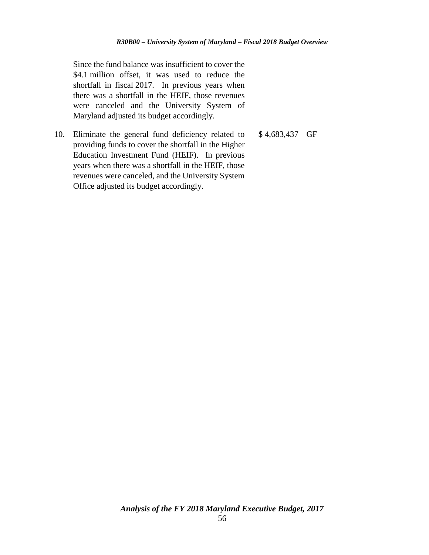Since the fund balance was insufficient to cover the \$4.1 million offset, it was used to reduce the shortfall in fiscal 2017. In previous years when there was a shortfall in the HEIF, those revenues were canceled and the University System of Maryland adjusted its budget accordingly.

10. Eliminate the general fund deficiency related to providing funds to cover the shortfall in the Higher Education Investment Fund (HEIF). In previous years when there was a shortfall in the HEIF, those revenues were canceled, and the University System Office adjusted its budget accordingly.

\$ 4,683,437 GF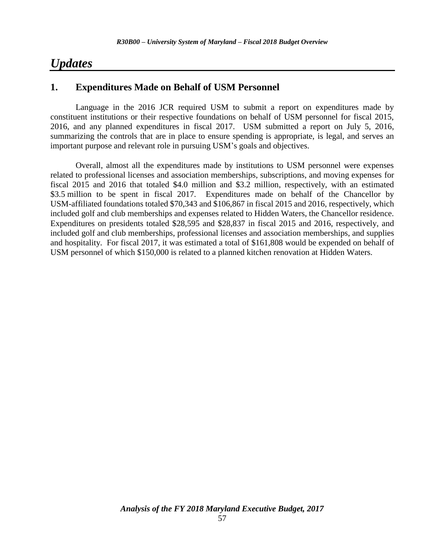## *Updates*

### **1. Expenditures Made on Behalf of USM Personnel**

Language in the 2016 JCR required USM to submit a report on expenditures made by constituent institutions or their respective foundations on behalf of USM personnel for fiscal 2015, 2016, and any planned expenditures in fiscal 2017. USM submitted a report on July 5, 2016, summarizing the controls that are in place to ensure spending is appropriate, is legal, and serves an important purpose and relevant role in pursuing USM's goals and objectives.

Overall, almost all the expenditures made by institutions to USM personnel were expenses related to professional licenses and association memberships, subscriptions, and moving expenses for fiscal 2015 and 2016 that totaled \$4.0 million and \$3.2 million, respectively, with an estimated \$3.5 million to be spent in fiscal 2017. Expenditures made on behalf of the Chancellor by USM-affiliated foundations totaled \$70,343 and \$106,867 in fiscal 2015 and 2016, respectively, which included golf and club memberships and expenses related to Hidden Waters, the Chancellor residence. Expenditures on presidents totaled \$28,595 and \$28,837 in fiscal 2015 and 2016, respectively, and included golf and club memberships, professional licenses and association memberships, and supplies and hospitality. For fiscal 2017, it was estimated a total of \$161,808 would be expended on behalf of USM personnel of which \$150,000 is related to a planned kitchen renovation at Hidden Waters.